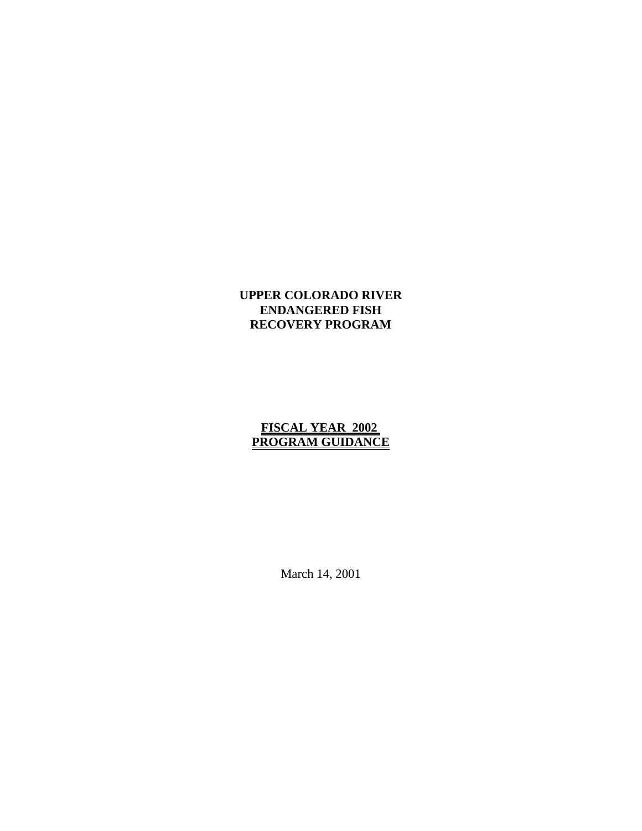## **UPPER COLORADO RIVER ENDANGERED FISH RECOVERY PROGRAM**

## **FISCAL YEAR 2002 PROGRAM GUIDANCE**

March 14, 2001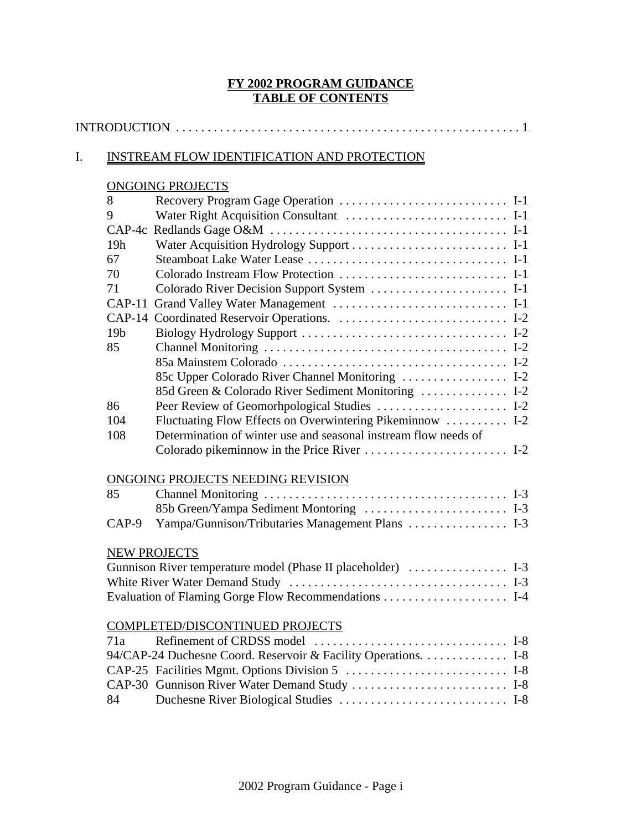## **FY 2002 PROGRAM GUIDANCE TABLE OF CONTENTS**

## I. INSTREAM FLOW IDENTIFICATION AND PROTECTION

# ONGOING PROJECTS

| 8               | Recovery Program Gage Operation  I-1                            |
|-----------------|-----------------------------------------------------------------|
| 9               | Water Right Acquisition Consultant  I-1                         |
| $CAP-4c$        |                                                                 |
| 19h             |                                                                 |
| 67              |                                                                 |
| 70              | Colorado Instream Flow Protection  I-1                          |
| 71              |                                                                 |
| $CAP-11$        | Grand Valley Water Management  I-1                              |
| $CAP-14$        |                                                                 |
| 19 <sub>b</sub> |                                                                 |
| 85              |                                                                 |
|                 |                                                                 |
|                 |                                                                 |
|                 |                                                                 |
| 86              |                                                                 |
| 104             | Fluctuating Flow Effects on Overwintering Pikeminnow  I-2       |
| 108             | Determination of winter use and seasonal instream flow needs of |
|                 |                                                                 |
|                 |                                                                 |
|                 | ONGOING PROJECTS NEEDING REVISION                               |
| 85              |                                                                 |
|                 | 85b Green/Yampa Sediment Montoring  I-3                         |
| CAP-9           | Yampa/Gunnison/Tributaries Management Plans  I-3                |
|                 | <b>NEW PROJECTS</b>                                             |
|                 |                                                                 |
|                 |                                                                 |
|                 |                                                                 |
|                 |                                                                 |
|                 | COMPLETED/DISCONTINUED PROJECTS                                 |
| 71a             |                                                                 |
|                 | 94/CAP-24 Duchesne Coord. Reservoir & Facility Operations. 1-8  |
|                 |                                                                 |
|                 | CAP-30 Gunnison River Water Demand Study  I-8                   |
| 84              |                                                                 |
|                 |                                                                 |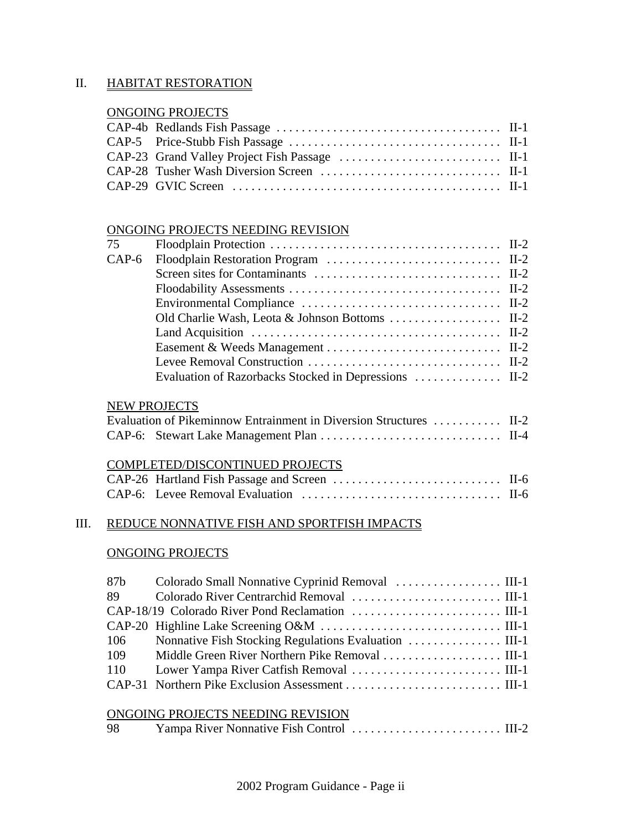## II. HABITAT RESTORATION

# ONGOING PROJECTS

#### ONGOING PROJECTS NEEDING REVISION

| 75      |                                                                                                              |  |
|---------|--------------------------------------------------------------------------------------------------------------|--|
| $CAP-6$ |                                                                                                              |  |
|         |                                                                                                              |  |
|         |                                                                                                              |  |
|         |                                                                                                              |  |
|         |                                                                                                              |  |
|         | Land Acquisition $\dots \dots \dots \dots \dots \dots \dots \dots \dots \dots \dots \dots \dots \dots \dots$ |  |
|         |                                                                                                              |  |
|         |                                                                                                              |  |
|         |                                                                                                              |  |

## NEW PROJECTS

| Evaluation of Pikeminnow Entrainment in Diversion Structures  II-2 |  |
|--------------------------------------------------------------------|--|
|                                                                    |  |

#### COMPLETED/DISCONTINUED PROJECTS

## III. REDUCE NONNATIVE FISH AND SPORTFISH IMPACTS

#### ONGOING PROJECTS

| 87b |                                   |
|-----|-----------------------------------|
| 89  |                                   |
|     |                                   |
|     |                                   |
| 106 |                                   |
| 109 |                                   |
|     |                                   |
|     |                                   |
|     |                                   |
|     | ONGOING PROJECTS NEEDING REVISION |

| 98 |  |
|----|--|
|    |  |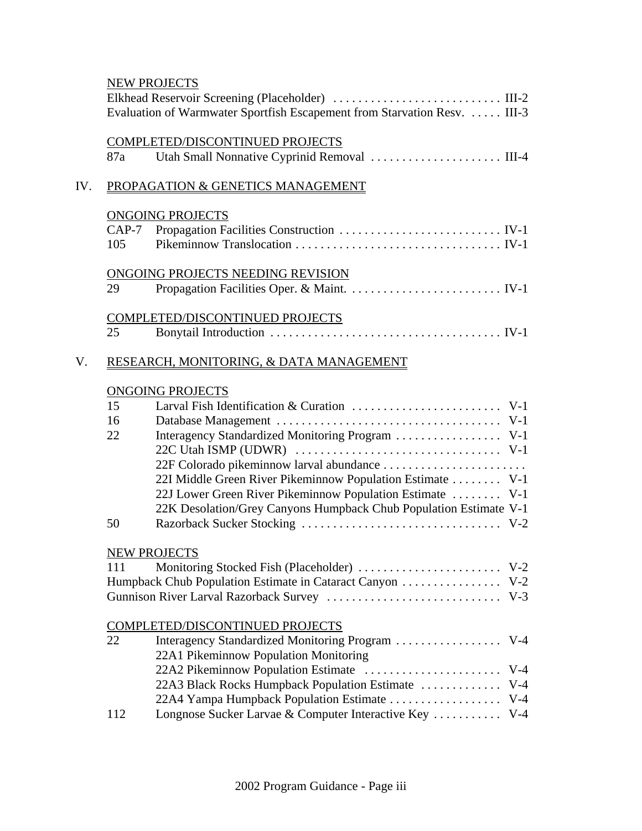|     |                      | <b>NEW PROJECTS</b><br>Evaluation of Warmwater Sportfish Escapement from Starvation Resv.  III-3                                                                                                                                                                                                                       |
|-----|----------------------|------------------------------------------------------------------------------------------------------------------------------------------------------------------------------------------------------------------------------------------------------------------------------------------------------------------------|
|     | 87a                  | <b>COMPLETED/DISCONTINUED PROJECTS</b>                                                                                                                                                                                                                                                                                 |
| IV. |                      | PROPAGATION & GENETICS MANAGEMENT                                                                                                                                                                                                                                                                                      |
|     | $CAP-7$<br>105       | <b>ONGOING PROJECTS</b>                                                                                                                                                                                                                                                                                                |
|     | 29                   | ONGOING PROJECTS NEEDING REVISION                                                                                                                                                                                                                                                                                      |
|     | 25                   | <b>COMPLETED/DISCONTINUED PROJECTS</b>                                                                                                                                                                                                                                                                                 |
| V.  |                      | RESEARCH, MONITORING, & DATA MANAGEMENT                                                                                                                                                                                                                                                                                |
|     | 15<br>16<br>22<br>50 | <b>ONGOING PROJECTS</b><br>Interagency Standardized Monitoring Program  V-1<br>22F Colorado pikeminnow larval abundance<br>22I Middle Green River Pikeminnow Population Estimate V-1<br>22J Lower Green River Pikeminnow Population Estimate  V-1<br>22K Desolation/Grey Canyons Humpback Chub Population Estimate V-1 |
|     | 111                  | <b>NEW PROJECTS</b>                                                                                                                                                                                                                                                                                                    |
|     | 22                   | <b>COMPLETED/DISCONTINUED PROJECTS</b><br>22A1 Pikeminnow Population Monitoring<br>22A3 Black Rocks Humpback Population Estimate  V-4<br>22A4 Yampa Humpback Population Estimate  V-4                                                                                                                                  |
|     | 112                  | Longnose Sucker Larvae & Computer Interactive Key  V-4                                                                                                                                                                                                                                                                 |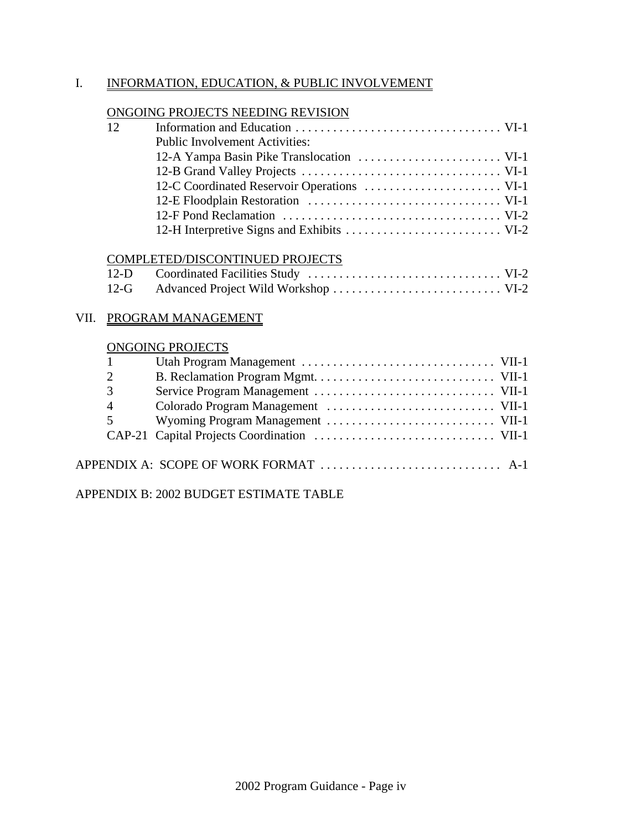# I. INFORMATION, EDUCATION, & PUBLIC INVOLVEMENT

# ONGOING PROJECTS NEEDING REVISION

| 12 |                                       |  |
|----|---------------------------------------|--|
|    | <b>Public Involvement Activities:</b> |  |
|    |                                       |  |
|    |                                       |  |
|    |                                       |  |
|    |                                       |  |
|    |                                       |  |
|    |                                       |  |

# COMPLETED/DISCONTINUED PROJECTS

# VII. PROGRAM MANAGEMENT

|                | <b>ONGOING PROJECTS</b> |  |
|----------------|-------------------------|--|
|                |                         |  |
| 2              |                         |  |
| 3              |                         |  |
| $\overline{4}$ |                         |  |
| $\mathfrak{S}$ |                         |  |
|                |                         |  |
|                |                         |  |
|                |                         |  |
|                |                         |  |

APPENDIX B: 2002 BUDGET ESTIMATE TABLE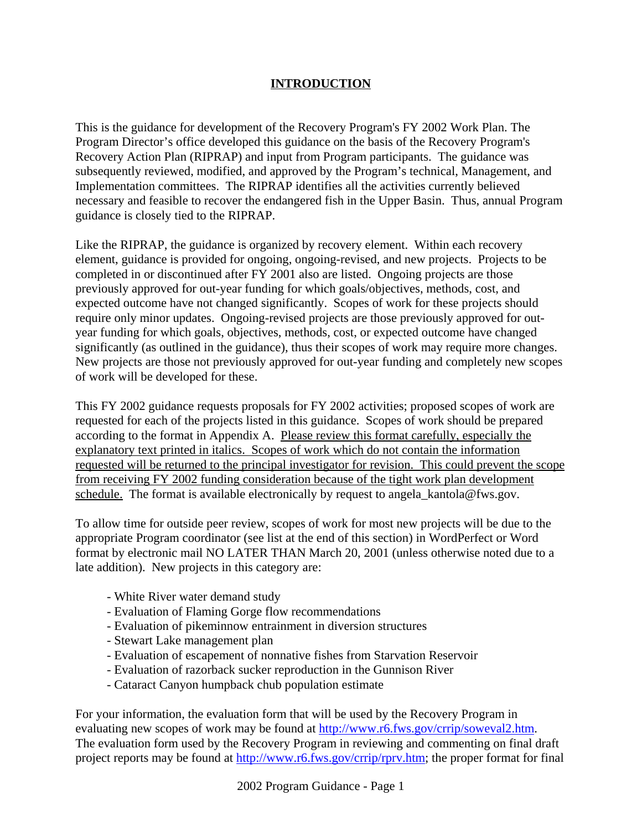# **INTRODUCTION**

This is the guidance for development of the Recovery Program's FY 2002 Work Plan. The Program Director's office developed this guidance on the basis of the Recovery Program's Recovery Action Plan (RIPRAP) and input from Program participants. The guidance was subsequently reviewed, modified, and approved by the Program's technical, Management, and Implementation committees. The RIPRAP identifies all the activities currently believed necessary and feasible to recover the endangered fish in the Upper Basin. Thus, annual Program guidance is closely tied to the RIPRAP.

Like the RIPRAP, the guidance is organized by recovery element. Within each recovery element, guidance is provided for ongoing, ongoing-revised, and new projects. Projects to be completed in or discontinued after FY 2001 also are listed. Ongoing projects are those previously approved for out-year funding for which goals/objectives, methods, cost, and expected outcome have not changed significantly. Scopes of work for these projects should require only minor updates. Ongoing-revised projects are those previously approved for outyear funding for which goals, objectives, methods, cost, or expected outcome have changed significantly (as outlined in the guidance), thus their scopes of work may require more changes. New projects are those not previously approved for out-year funding and completely new scopes of work will be developed for these.

This FY 2002 guidance requests proposals for FY 2002 activities; proposed scopes of work are requested for each of the projects listed in this guidance. Scopes of work should be prepared according to the format in Appendix A. Please review this format carefully, especially the explanatory text printed in italics. Scopes of work which do not contain the information requested will be returned to the principal investigator for revision. This could prevent the scope from receiving FY 2002 funding consideration because of the tight work plan development schedule. The format is available electronically by request to angela\_kantola@fws.gov.

To allow time for outside peer review, scopes of work for most new projects will be due to the appropriate Program coordinator (see list at the end of this section) in WordPerfect or Word format by electronic mail NO LATER THAN March 20, 2001 (unless otherwise noted due to a late addition). New projects in this category are:

- White River water demand study
- Evaluation of Flaming Gorge flow recommendations
- Evaluation of pikeminnow entrainment in diversion structures
- Stewart Lake management plan
- Evaluation of escapement of nonnative fishes from Starvation Reservoir
- Evaluation of razorback sucker reproduction in the Gunnison River
- Cataract Canyon humpback chub population estimate

For your information, the evaluation form that will be used by the Recovery Program in evaluating new scopes of work may be found at http://www.r6.fws.gov/crrip/soweval2.htm. The evaluation form used by the Recovery Program in reviewing and commenting on final draft project reports may be found at http://www.r6.fws.gov/crrip/rprv.htm; the proper format for final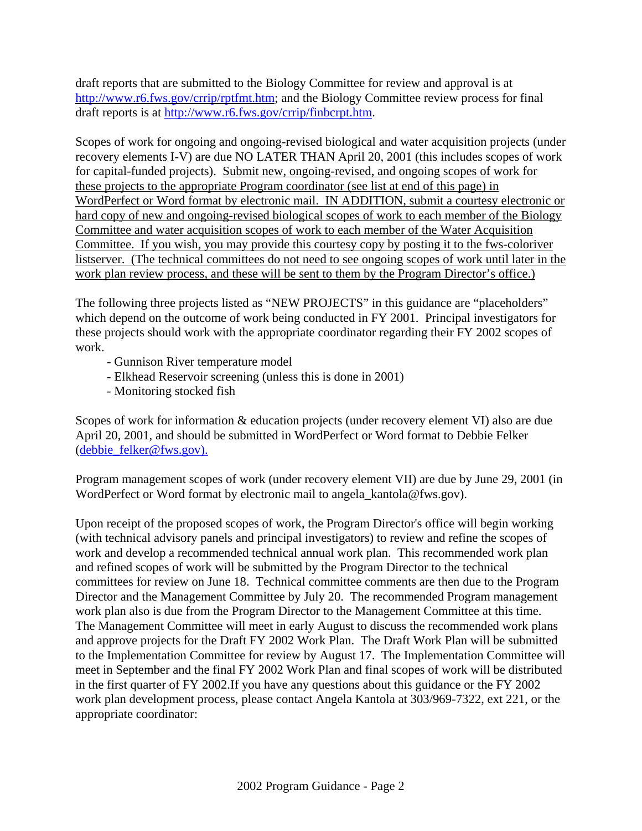draft reports that are submitted to the Biology Committee for review and approval is at http://www.r6.fws.gov/crrip/rptfmt.htm; and the Biology Committee review process for final draft reports is at http://www.r6.fws.gov/crrip/finbcrpt.htm.

Scopes of work for ongoing and ongoing-revised biological and water acquisition projects (under recovery elements I-V) are due NO LATER THAN April 20, 2001 (this includes scopes of work for capital-funded projects). Submit new, ongoing-revised, and ongoing scopes of work for these projects to the appropriate Program coordinator (see list at end of this page) in WordPerfect or Word format by electronic mail. IN ADDITION, submit a courtesy electronic or hard copy of new and ongoing-revised biological scopes of work to each member of the Biology Committee and water acquisition scopes of work to each member of the Water Acquisition Committee. If you wish, you may provide this courtesy copy by posting it to the fws-coloriver listserver. (The technical committees do not need to see ongoing scopes of work until later in the work plan review process, and these will be sent to them by the Program Director's office.)

The following three projects listed as "NEW PROJECTS" in this guidance are "placeholders" which depend on the outcome of work being conducted in FY 2001. Principal investigators for these projects should work with the appropriate coordinator regarding their FY 2002 scopes of work.

- Gunnison River temperature model
- Elkhead Reservoir screening (unless this is done in 2001)
- Monitoring stocked fish

Scopes of work for information & education projects (under recovery element VI) also are due April 20, 2001, and should be submitted in WordPerfect or Word format to Debbie Felker (debbie\_felker@fws.gov).

Program management scopes of work (under recovery element VII) are due by June 29, 2001 (in WordPerfect or Word format by electronic mail to angela kantola@fws.gov).

Upon receipt of the proposed scopes of work, the Program Director's office will begin working (with technical advisory panels and principal investigators) to review and refine the scopes of work and develop a recommended technical annual work plan. This recommended work plan and refined scopes of work will be submitted by the Program Director to the technical committees for review on June 18. Technical committee comments are then due to the Program Director and the Management Committee by July 20. The recommended Program management work plan also is due from the Program Director to the Management Committee at this time. The Management Committee will meet in early August to discuss the recommended work plans and approve projects for the Draft FY 2002 Work Plan. The Draft Work Plan will be submitted to the Implementation Committee for review by August 17. The Implementation Committee will meet in September and the final FY 2002 Work Plan and final scopes of work will be distributed in the first quarter of FY 2002.If you have any questions about this guidance or the FY 2002 work plan development process, please contact Angela Kantola at 303/969-7322, ext 221, or the appropriate coordinator: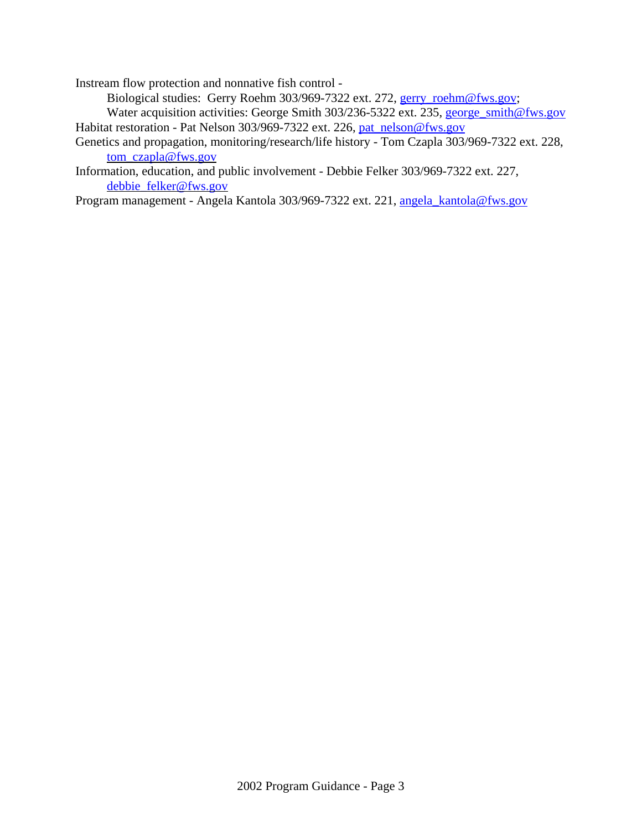Instream flow protection and nonnative fish control -

Biological studies: Gerry Roehm 303/969-7322 ext. 272, gerry\_roehm@fws.gov;

Water acquisition activities: George Smith 303/236-5322 ext. 235, george smith@fws.gov Habitat restoration - Pat Nelson 303/969-7322 ext. 226, pat\_nelson@fws.gov

Genetics and propagation, monitoring/research/life history - Tom Czapla 303/969-7322 ext. 228, tom\_czapla@fws.gov

Information, education, and public involvement - Debbie Felker 303/969-7322 ext. 227, debbie\_felker@fws.gov

Program management - Angela Kantola 303/969-7322 ext. 221, angela\_kantola@fws.gov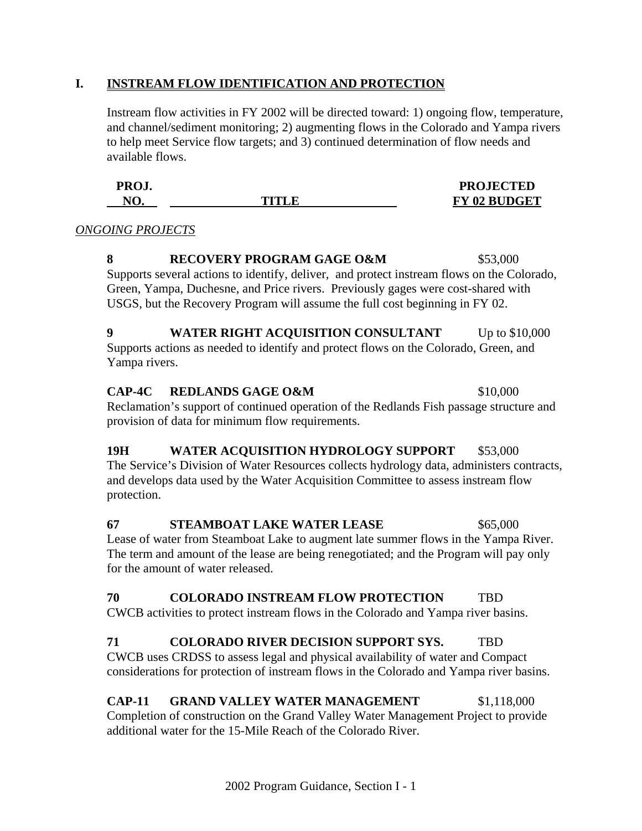## **I. INSTREAM FLOW IDENTIFICATION AND PROTECTION**

Instream flow activities in FY 2002 will be directed toward: 1) ongoing flow, temperature, and channel/sediment monitoring; 2) augmenting flows in the Colorado and Yampa rivers to help meet Service flow targets; and 3) continued determination of flow needs and available flows.

| PROJ.          |        | <b>PROJECTED</b>    |
|----------------|--------|---------------------|
| $N\mathcal{C}$ | TITLE. | <b>FY 02 BUDGET</b> |

#### *ONGOING PROJECTS*

#### **8 RECOVERY PROGRAM GAGE O&M** \$53,000 Supports several actions to identify, deliver, and protect instream flows on the Colorado, Green, Yampa, Duchesne, and Price rivers. Previously gages were cost-shared with USGS, but the Recovery Program will assume the full cost beginning in FY 02.

#### **9 WATER RIGHT ACQUISITION CONSULTANT** Up to \$10,000 Supports actions as needed to identify and protect flows on the Colorado, Green, and Yampa rivers.

#### **CAP-4C REDLANDS GAGE O&M** \$10,000 Reclamation's support of continued operation of the Redlands Fish passage structure and provision of data for minimum flow requirements.

# 19H WATER ACQUISITION HYDROLOGY SUPPORT \$53,000

The Service's Division of Water Resources collects hydrology data, administers contracts, and develops data used by the Water Acquisition Committee to assess instream flow protection.

**67 STEAMBOAT LAKE WATER LEASE \$65,000** Lease of water from Steamboat Lake to augment late summer flows in the Yampa River. The term and amount of the lease are being renegotiated; and the Program will pay only for the amount of water released.

## **70 COLORADO INSTREAM FLOW PROTECTION** TBD

CWCB activities to protect instream flows in the Colorado and Yampa river basins.

# **71 COLORADO RIVER DECISION SUPPORT SYS.** TBD

CWCB uses CRDSS to assess legal and physical availability of water and Compact considerations for protection of instream flows in the Colorado and Yampa river basins.

## **CAP-11 GRAND VALLEY WATER MANAGEMENT** \$1,118,000

Completion of construction on the Grand Valley Water Management Project to provide additional water for the 15-Mile Reach of the Colorado River.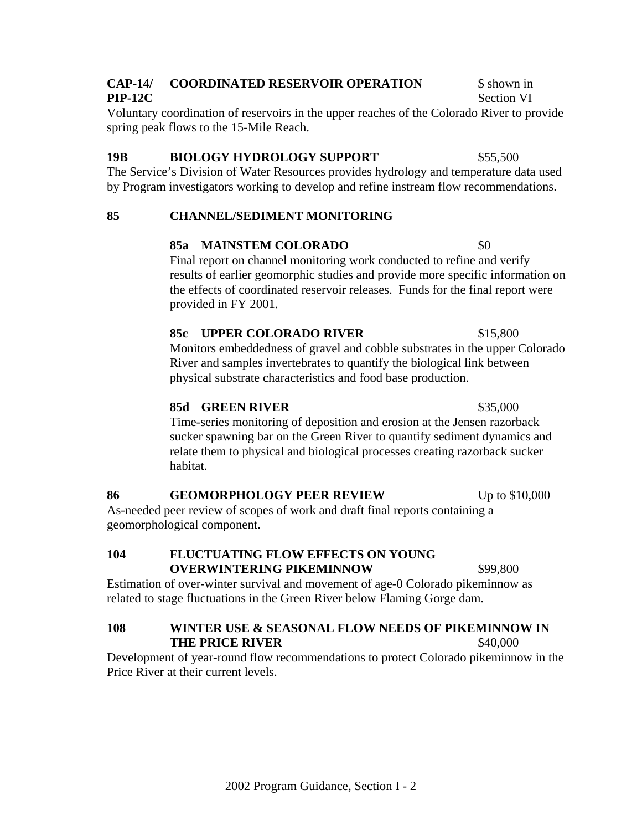## **CAP-14/ COORDINATED RESERVOIR OPERATION** \$ shown in **PIP-12C** Section VI

Voluntary coordination of reservoirs in the upper reaches of the Colorado River to provide spring peak flows to the 15-Mile Reach.

# **19B BIOLOGY HYDROLOGY SUPPORT \$55,500**

The Service's Division of Water Resources provides hydrology and temperature data used by Program investigators working to develop and refine instream flow recommendations.

# **85 CHANNEL/SEDIMENT MONITORING**

# **85a** MAINSTEM COLORADO \$0

Final report on channel monitoring work conducted to refine and verify results of earlier geomorphic studies and provide more specific information on the effects of coordinated reservoir releases. Funds for the final report were provided in FY 2001.

## 85c UPPER COLORADO RIVER \$15,800

Monitors embeddedness of gravel and cobble substrates in the upper Colorado River and samples invertebrates to quantify the biological link between physical substrate characteristics and food base production.

## **85d GREEN RIVER** \$35,000

Time-series monitoring of deposition and erosion at the Jensen razorback sucker spawning bar on the Green River to quantify sediment dynamics and relate them to physical and biological processes creating razorback sucker habitat.

## **86 GEOMORPHOLOGY PEER REVIEW** Up to \$10,000

As-needed peer review of scopes of work and draft final reports containing a geomorphological component.

## **104 FLUCTUATING FLOW EFFECTS ON YOUNG OVERWINTERING PIKEMINNOW \$99,800**

Estimation of over-winter survival and movement of age-0 Colorado pikeminnow as related to stage fluctuations in the Green River below Flaming Gorge dam.

## **108 WINTER USE & SEASONAL FLOW NEEDS OF PIKEMINNOW IN THE PRICE RIVER** \$40,000

Development of year-round flow recommendations to protect Colorado pikeminnow in the Price River at their current levels.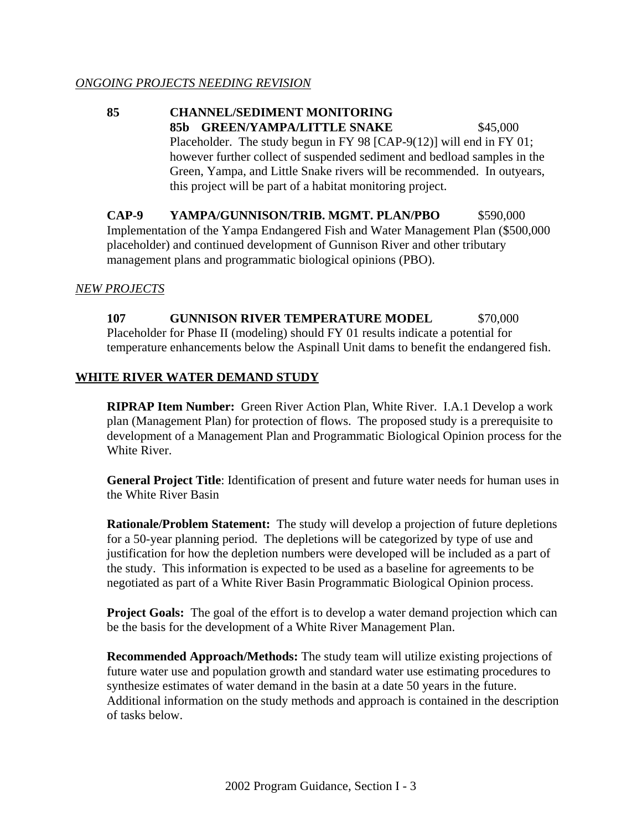**85 CHANNEL/SEDIMENT MONITORING** 85b GREEN/YAMPA/LITTLE SNAKE \$45,000 Placeholder. The study begun in FY 98 [CAP-9(12)] will end in FY 01; however further collect of suspended sediment and bedload samples in the Green, Yampa, and Little Snake rivers will be recommended. In outyears, this project will be part of a habitat monitoring project.

**CAP-9 YAMPA/GUNNISON/TRIB. MGMT. PLAN/PBO** \$590,000 Implementation of the Yampa Endangered Fish and Water Management Plan (\$500,000 placeholder) and continued development of Gunnison River and other tributary management plans and programmatic biological opinions (PBO).

#### *NEW PROJECTS*

**107 GUNNISON RIVER TEMPERATURE MODEL \$70,000** Placeholder for Phase II (modeling) should FY 01 results indicate a potential for temperature enhancements below the Aspinall Unit dams to benefit the endangered fish.

#### **WHITE RIVER WATER DEMAND STUDY**

**RIPRAP Item Number:** Green River Action Plan, White River. I.A.1 Develop a work plan (Management Plan) for protection of flows. The proposed study is a prerequisite to development of a Management Plan and Programmatic Biological Opinion process for the White River.

**General Project Title**: Identification of present and future water needs for human uses in the White River Basin

**Rationale/Problem Statement:** The study will develop a projection of future depletions for a 50-year planning period. The depletions will be categorized by type of use and justification for how the depletion numbers were developed will be included as a part of the study. This information is expected to be used as a baseline for agreements to be negotiated as part of a White River Basin Programmatic Biological Opinion process.

**Project Goals:** The goal of the effort is to develop a water demand projection which can be the basis for the development of a White River Management Plan.

**Recommended Approach/Methods:** The study team will utilize existing projections of future water use and population growth and standard water use estimating procedures to synthesize estimates of water demand in the basin at a date 50 years in the future. Additional information on the study methods and approach is contained in the description of tasks below.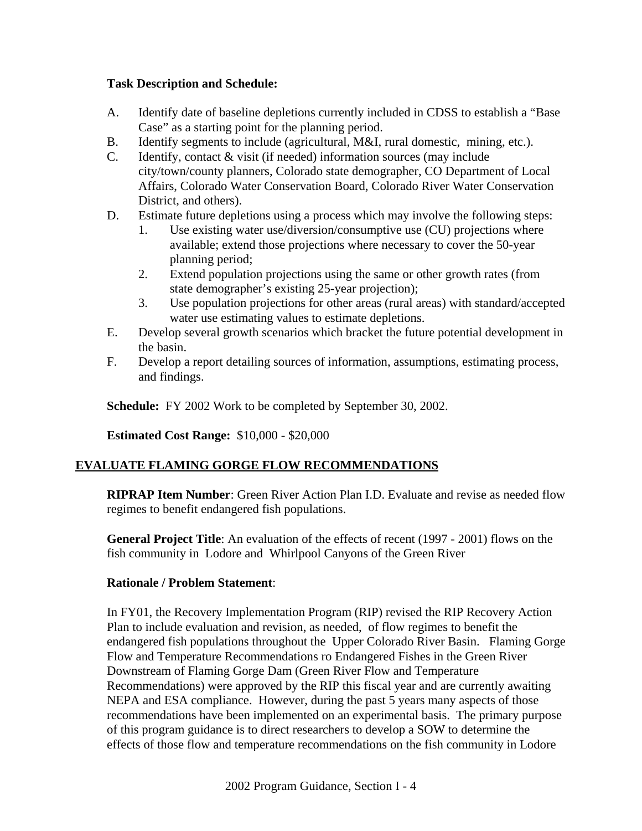#### **Task Description and Schedule:**

- A. Identify date of baseline depletions currently included in CDSS to establish a "Base Case" as a starting point for the planning period.
- B. Identify segments to include (agricultural, M&I, rural domestic, mining, etc.).
- C. Identify, contact & visit (if needed) information sources (may include city/town/county planners, Colorado state demographer, CO Department of Local Affairs, Colorado Water Conservation Board, Colorado River Water Conservation District, and others).
- D. Estimate future depletions using a process which may involve the following steps:
	- 1. Use existing water use/diversion/consumptive use (CU) projections where available; extend those projections where necessary to cover the 50-year planning period;
	- 2. Extend population projections using the same or other growth rates (from state demographer's existing 25-year projection);
	- 3. Use population projections for other areas (rural areas) with standard/accepted water use estimating values to estimate depletions.
- E. Develop several growth scenarios which bracket the future potential development in the basin.
- F. Develop a report detailing sources of information, assumptions, estimating process, and findings.

**Schedule:** FY 2002 Work to be completed by September 30, 2002.

**Estimated Cost Range:** \$10,000 - \$20,000

# **EVALUATE FLAMING GORGE FLOW RECOMMENDATIONS**

**RIPRAP Item Number**: Green River Action Plan I.D. Evaluate and revise as needed flow regimes to benefit endangered fish populations.

**General Project Title**: An evaluation of the effects of recent (1997 - 2001) flows on the fish community in Lodore and Whirlpool Canyons of the Green River

## **Rationale / Problem Statement**:

In FY01, the Recovery Implementation Program (RIP) revised the RIP Recovery Action Plan to include evaluation and revision, as needed, of flow regimes to benefit the endangered fish populations throughout the Upper Colorado River Basin. Flaming Gorge Flow and Temperature Recommendations ro Endangered Fishes in the Green River Downstream of Flaming Gorge Dam (Green River Flow and Temperature Recommendations) were approved by the RIP this fiscal year and are currently awaiting NEPA and ESA compliance. However, during the past 5 years many aspects of those recommendations have been implemented on an experimental basis. The primary purpose of this program guidance is to direct researchers to develop a SOW to determine the effects of those flow and temperature recommendations on the fish community in Lodore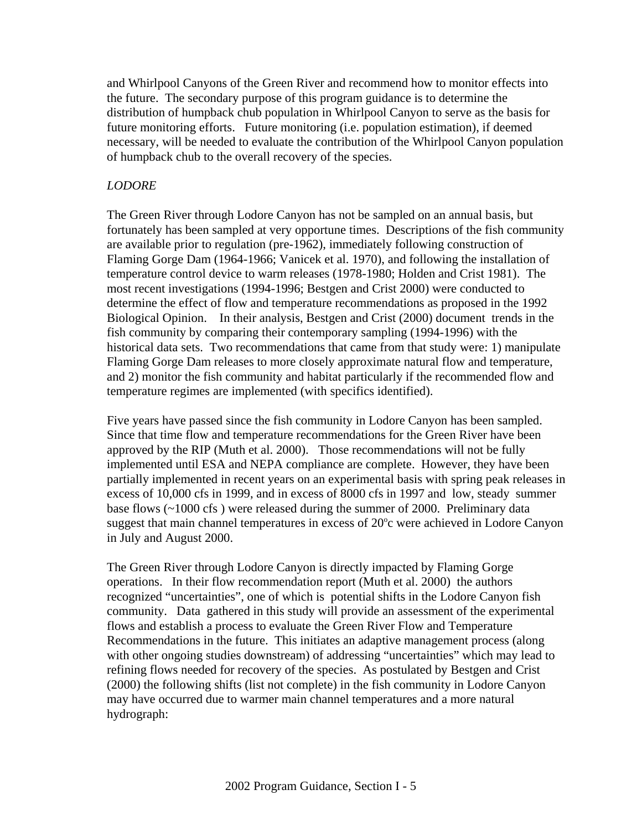and Whirlpool Canyons of the Green River and recommend how to monitor effects into the future. The secondary purpose of this program guidance is to determine the distribution of humpback chub population in Whirlpool Canyon to serve as the basis for future monitoring efforts. Future monitoring (i.e. population estimation), if deemed necessary, will be needed to evaluate the contribution of the Whirlpool Canyon population of humpback chub to the overall recovery of the species.

## *LODORE*

The Green River through Lodore Canyon has not be sampled on an annual basis, but fortunately has been sampled at very opportune times. Descriptions of the fish community are available prior to regulation (pre-1962), immediately following construction of Flaming Gorge Dam (1964-1966; Vanicek et al. 1970), and following the installation of temperature control device to warm releases (1978-1980; Holden and Crist 1981). The most recent investigations (1994-1996; Bestgen and Crist 2000) were conducted to determine the effect of flow and temperature recommendations as proposed in the 1992 Biological Opinion. In their analysis, Bestgen and Crist (2000) document trends in the fish community by comparing their contemporary sampling (1994-1996) with the historical data sets. Two recommendations that came from that study were: 1) manipulate Flaming Gorge Dam releases to more closely approximate natural flow and temperature, and 2) monitor the fish community and habitat particularly if the recommended flow and temperature regimes are implemented (with specifics identified).

Five years have passed since the fish community in Lodore Canyon has been sampled. Since that time flow and temperature recommendations for the Green River have been approved by the RIP (Muth et al. 2000). Those recommendations will not be fully implemented until ESA and NEPA compliance are complete. However, they have been partially implemented in recent years on an experimental basis with spring peak releases in excess of 10,000 cfs in 1999, and in excess of 8000 cfs in 1997 and low, steady summer base flows (~1000 cfs ) were released during the summer of 2000. Preliminary data suggest that main channel temperatures in excess of 20°c were achieved in Lodore Canyon in July and August 2000.

The Green River through Lodore Canyon is directly impacted by Flaming Gorge operations. In their flow recommendation report (Muth et al. 2000) the authors recognized "uncertainties", one of which is potential shifts in the Lodore Canyon fish community. Data gathered in this study will provide an assessment of the experimental flows and establish a process to evaluate the Green River Flow and Temperature Recommendations in the future. This initiates an adaptive management process (along with other ongoing studies downstream) of addressing "uncertainties" which may lead to refining flows needed for recovery of the species. As postulated by Bestgen and Crist (2000) the following shifts (list not complete) in the fish community in Lodore Canyon may have occurred due to warmer main channel temperatures and a more natural hydrograph: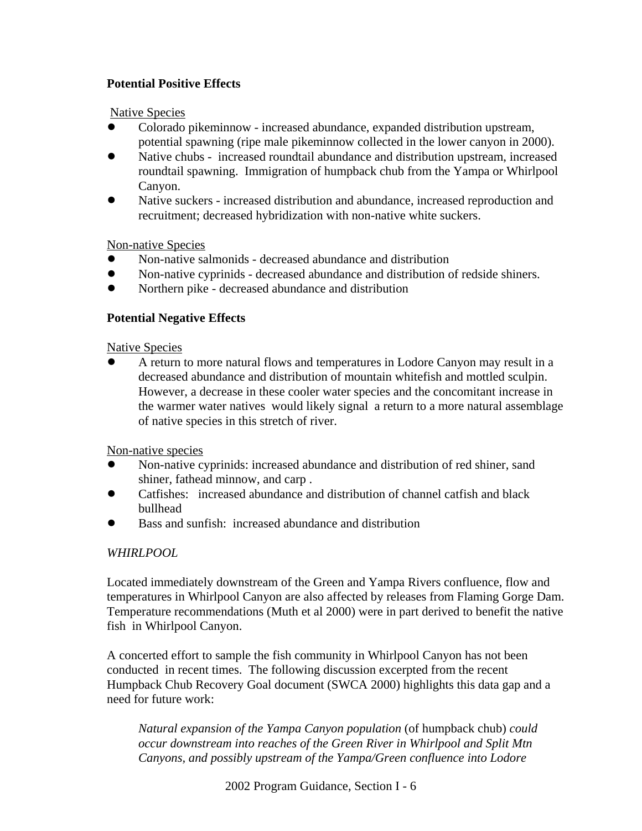## **Potential Positive Effects**

Native Species

- ! Colorado pikeminnow increased abundance, expanded distribution upstream, potential spawning (ripe male pikeminnow collected in the lower canyon in 2000).
- Native chubs increased roundtail abundance and distribution upstream, increased roundtail spawning. Immigration of humpback chub from the Yampa or Whirlpool Canyon.
- Native suckers increased distribution and abundance, increased reproduction and recruitment; decreased hybridization with non-native white suckers.

Non-native Species

- ! Non-native salmonids decreased abundance and distribution
- ! Non-native cyprinids decreased abundance and distribution of redside shiners.
- ! Northern pike decreased abundance and distribution

## **Potential Negative Effects**

Native Species

! A return to more natural flows and temperatures in Lodore Canyon may result in a decreased abundance and distribution of mountain whitefish and mottled sculpin. However, a decrease in these cooler water species and the concomitant increase in the warmer water natives would likely signal a return to a more natural assemblage of native species in this stretch of river.

Non-native species

- ! Non-native cyprinids: increased abundance and distribution of red shiner, sand shiner, fathead minnow, and carp .
- ! Catfishes: increased abundance and distribution of channel catfish and black bullhead
- ! Bass and sunfish: increased abundance and distribution

# *WHIRLPOOL*

Located immediately downstream of the Green and Yampa Rivers confluence, flow and temperatures in Whirlpool Canyon are also affected by releases from Flaming Gorge Dam. Temperature recommendations (Muth et al 2000) were in part derived to benefit the native fish in Whirlpool Canyon.

A concerted effort to sample the fish community in Whirlpool Canyon has not been conducted in recent times. The following discussion excerpted from the recent Humpback Chub Recovery Goal document (SWCA 2000) highlights this data gap and a need for future work:

*Natural expansion of the Yampa Canyon population* (of humpback chub) *could occur downstream into reaches of the Green River in Whirlpool and Split Mtn Canyons, and possibly upstream of the Yampa/Green confluence into Lodore*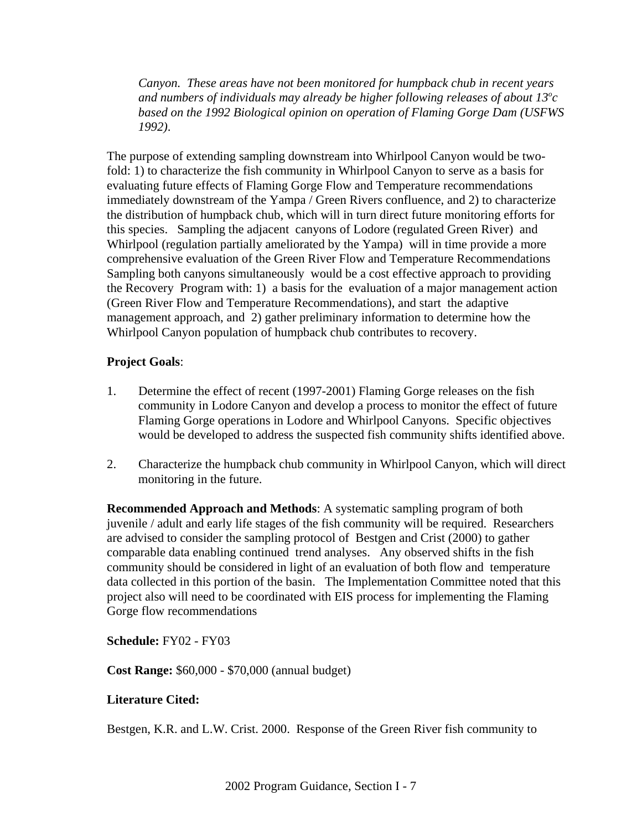*Canyon. These areas have not been monitored for humpback chub in recent years* and numbers of individuals may already be higher following releases of about 13<sup>o</sup>c *based on the 1992 Biological opinion on operation of Flaming Gorge Dam (USFWS 1992)*.

The purpose of extending sampling downstream into Whirlpool Canyon would be twofold: 1) to characterize the fish community in Whirlpool Canyon to serve as a basis for evaluating future effects of Flaming Gorge Flow and Temperature recommendations immediately downstream of the Yampa / Green Rivers confluence, and 2) to characterize the distribution of humpback chub, which will in turn direct future monitoring efforts for this species. Sampling the adjacent canyons of Lodore (regulated Green River) and Whirlpool (regulation partially ameliorated by the Yampa) will in time provide a more comprehensive evaluation of the Green River Flow and Temperature Recommendations Sampling both canyons simultaneously would be a cost effective approach to providing the Recovery Program with: 1) a basis for the evaluation of a major management action (Green River Flow and Temperature Recommendations), and start the adaptive management approach, and 2) gather preliminary information to determine how the Whirlpool Canyon population of humpback chub contributes to recovery.

## **Project Goals**:

- 1. Determine the effect of recent (1997-2001) Flaming Gorge releases on the fish community in Lodore Canyon and develop a process to monitor the effect of future Flaming Gorge operations in Lodore and Whirlpool Canyons. Specific objectives would be developed to address the suspected fish community shifts identified above.
- 2. Characterize the humpback chub community in Whirlpool Canyon, which will direct monitoring in the future.

**Recommended Approach and Methods**: A systematic sampling program of both juvenile / adult and early life stages of the fish community will be required. Researchers are advised to consider the sampling protocol of Bestgen and Crist (2000) to gather comparable data enabling continued trend analyses. Any observed shifts in the fish community should be considered in light of an evaluation of both flow and temperature data collected in this portion of the basin. The Implementation Committee noted that this project also will need to be coordinated with EIS process for implementing the Flaming Gorge flow recommendations

**Schedule:** FY02 - FY03

**Cost Range:** \$60,000 - \$70,000 (annual budget)

## **Literature Cited:**

Bestgen, K.R. and L.W. Crist. 2000. Response of the Green River fish community to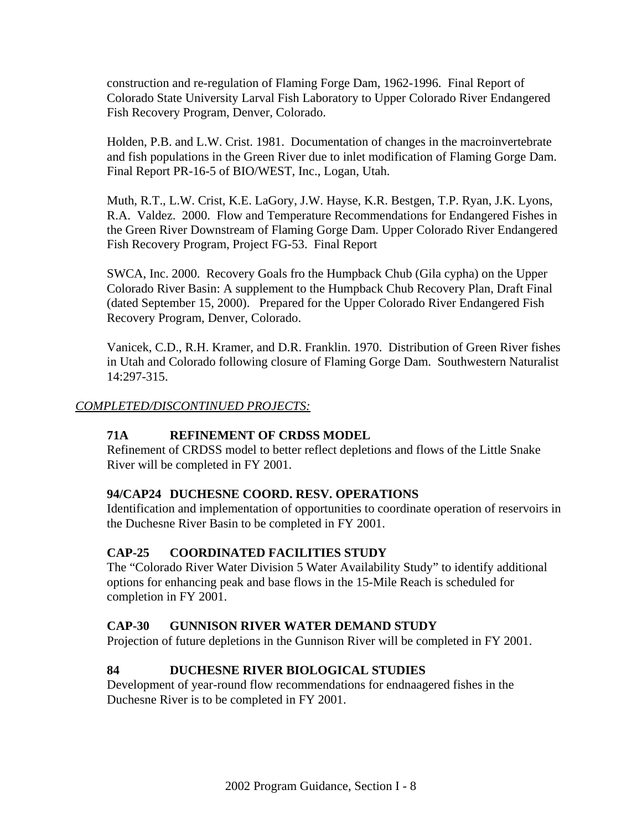construction and re-regulation of Flaming Forge Dam, 1962-1996. Final Report of Colorado State University Larval Fish Laboratory to Upper Colorado River Endangered Fish Recovery Program, Denver, Colorado.

Holden, P.B. and L.W. Crist. 1981. Documentation of changes in the macroinvertebrate and fish populations in the Green River due to inlet modification of Flaming Gorge Dam. Final Report PR-16-5 of BIO/WEST, Inc., Logan, Utah.

Muth, R.T., L.W. Crist, K.E. LaGory, J.W. Hayse, K.R. Bestgen, T.P. Ryan, J.K. Lyons, R.A. Valdez. 2000. Flow and Temperature Recommendations for Endangered Fishes in the Green River Downstream of Flaming Gorge Dam. Upper Colorado River Endangered Fish Recovery Program, Project FG-53. Final Report

SWCA, Inc. 2000. Recovery Goals fro the Humpback Chub (Gila cypha) on the Upper Colorado River Basin: A supplement to the Humpback Chub Recovery Plan, Draft Final (dated September 15, 2000). Prepared for the Upper Colorado River Endangered Fish Recovery Program, Denver, Colorado.

Vanicek, C.D., R.H. Kramer, and D.R. Franklin. 1970. Distribution of Green River fishes in Utah and Colorado following closure of Flaming Gorge Dam. Southwestern Naturalist 14:297-315.

## *COMPLETED/DISCONTINUED PROJECTS:*

# **71A REFINEMENT OF CRDSS MODEL**

Refinement of CRDSS model to better reflect depletions and flows of the Little Snake River will be completed in FY 2001.

## **94/CAP24 DUCHESNE COORD. RESV. OPERATIONS**

Identification and implementation of opportunities to coordinate operation of reservoirs in the Duchesne River Basin to be completed in FY 2001.

## **CAP-25 COORDINATED FACILITIES STUDY**

The "Colorado River Water Division 5 Water Availability Study" to identify additional options for enhancing peak and base flows in the 15-Mile Reach is scheduled for completion in FY 2001.

## **CAP-30 GUNNISON RIVER WATER DEMAND STUDY**

Projection of future depletions in the Gunnison River will be completed in FY 2001.

## **84 DUCHESNE RIVER BIOLOGICAL STUDIES**

Development of year-round flow recommendations for endnaagered fishes in the Duchesne River is to be completed in FY 2001.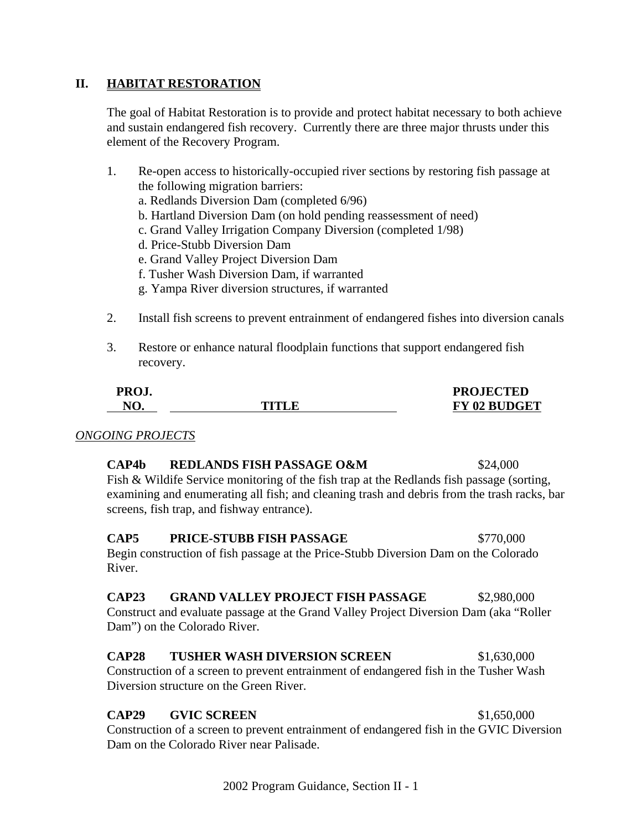#### **II. HABITAT RESTORATION**

The goal of Habitat Restoration is to provide and protect habitat necessary to both achieve and sustain endangered fish recovery. Currently there are three major thrusts under this element of the Recovery Program.

| 1. | Re-open access to historically-occupied river sections by restoring fish passage at    |
|----|----------------------------------------------------------------------------------------|
|    | the following migration barriers:                                                      |
|    | a. Redlands Diversion Dam (completed 6/96)                                             |
|    | b. Hartland Diversion Dam (on hold pending reassessment of need)                       |
|    | c. Grand Valley Irrigation Company Diversion (completed 1/98)                          |
|    | d. Price-Stubb Diversion Dam                                                           |
|    | e. Grand Valley Project Diversion Dam                                                  |
|    | f. Tusher Wash Diversion Dam, if warranted                                             |
|    | g. Yampa River diversion structures, if warranted                                      |
|    |                                                                                        |
| 2. | Install fish screens to prevent entrainment of endangered fishes into diversion canals |

3. Restore or enhance natural floodplain functions that support endangered fish recovery.

| PROJ. |       | <b>PROJECTED</b>    |
|-------|-------|---------------------|
| NO.   | TITLE | <b>FY 02 BUDGET</b> |

#### *ONGOING PROJECTS*

#### **CAP4b REDLANDS FISH PASSAGE O&M** \$24,000

Fish & Wildife Service monitoring of the fish trap at the Redlands fish passage (sorting, examining and enumerating all fish; and cleaning trash and debris from the trash racks, bar screens, fish trap, and fishway entrance).

# **CAP5** PRICE-STUBB FISH PASSAGE \$770,000

Begin construction of fish passage at the Price-Stubb Diversion Dam on the Colorado River.

#### **CAP23 GRAND VALLEY PROJECT FISH PASSAGE** \$2,980,000

Construct and evaluate passage at the Grand Valley Project Diversion Dam (aka "Roller Dam") on the Colorado River.

#### **CAP28 TUSHER WASH DIVERSION SCREEN** \$1,630,000

Construction of a screen to prevent entrainment of endangered fish in the Tusher Wash Diversion structure on the Green River.

#### **CAP29 GVIC SCREEN** \$1,650,000

Construction of a screen to prevent entrainment of endangered fish in the GVIC Diversion Dam on the Colorado River near Palisade.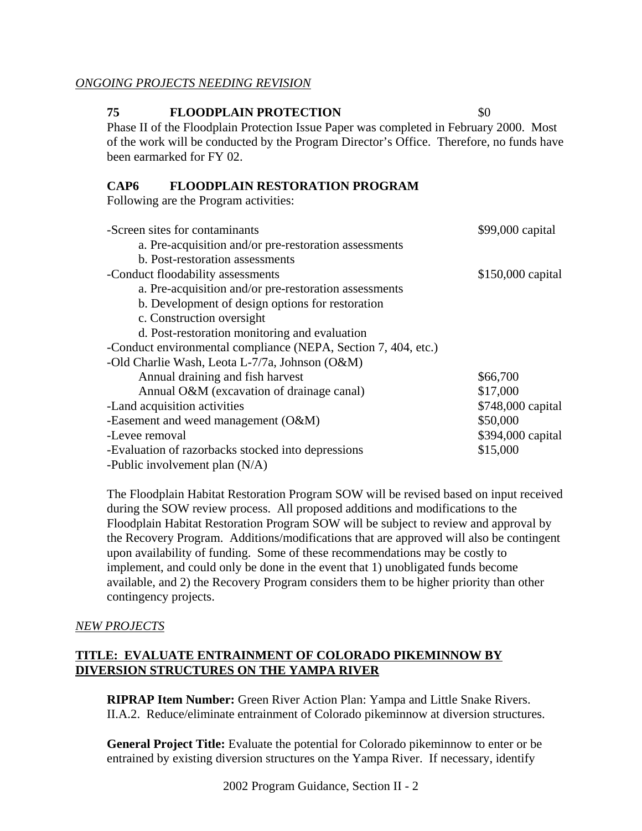#### *ONGOING PROJECTS NEEDING REVISION*

#### **75 FLOODPLAIN PROTECTION** \$0

Phase II of the Floodplain Protection Issue Paper was completed in February 2000. Most of the work will be conducted by the Program Director's Office. Therefore, no funds have been earmarked for FY 02.

#### **CAP6 FLOODPLAIN RESTORATION PROGRAM**

Following are the Program activities:

| -Screen sites for contaminants                                 | \$99,000 capital  |
|----------------------------------------------------------------|-------------------|
| a. Pre-acquisition and/or pre-restoration assessments          |                   |
| b. Post-restoration assessments                                |                   |
| -Conduct floodability assessments                              | \$150,000 capital |
| a. Pre-acquisition and/or pre-restoration assessments          |                   |
| b. Development of design options for restoration               |                   |
| c. Construction oversight                                      |                   |
| d. Post-restoration monitoring and evaluation                  |                   |
| -Conduct environmental compliance (NEPA, Section 7, 404, etc.) |                   |
| -Old Charlie Wash, Leota L-7/7a, Johnson (O&M)                 |                   |
| Annual draining and fish harvest                               | \$66,700          |
| Annual O&M (excavation of drainage canal)                      | \$17,000          |
| -Land acquisition activities                                   | \$748,000 capital |
| -Easement and weed management $(O&M)$                          | \$50,000          |
| -Levee removal                                                 | \$394,000 capital |
| -Evaluation of razorbacks stocked into depressions             | \$15,000          |
| -Public involvement plan $(N/A)$                               |                   |

The Floodplain Habitat Restoration Program SOW will be revised based on input received during the SOW review process. All proposed additions and modifications to the Floodplain Habitat Restoration Program SOW will be subject to review and approval by the Recovery Program. Additions/modifications that are approved will also be contingent upon availability of funding. Some of these recommendations may be costly to implement, and could only be done in the event that 1) unobligated funds become available, and 2) the Recovery Program considers them to be higher priority than other contingency projects.

## *NEW PROJECTS*

## **TITLE: EVALUATE ENTRAINMENT OF COLORADO PIKEMINNOW BY DIVERSION STRUCTURES ON THE YAMPA RIVER**

**RIPRAP Item Number:** Green River Action Plan: Yampa and Little Snake Rivers. II.A.2. Reduce/eliminate entrainment of Colorado pikeminnow at diversion structures.

**General Project Title:** Evaluate the potential for Colorado pikeminnow to enter or be entrained by existing diversion structures on the Yampa River. If necessary, identify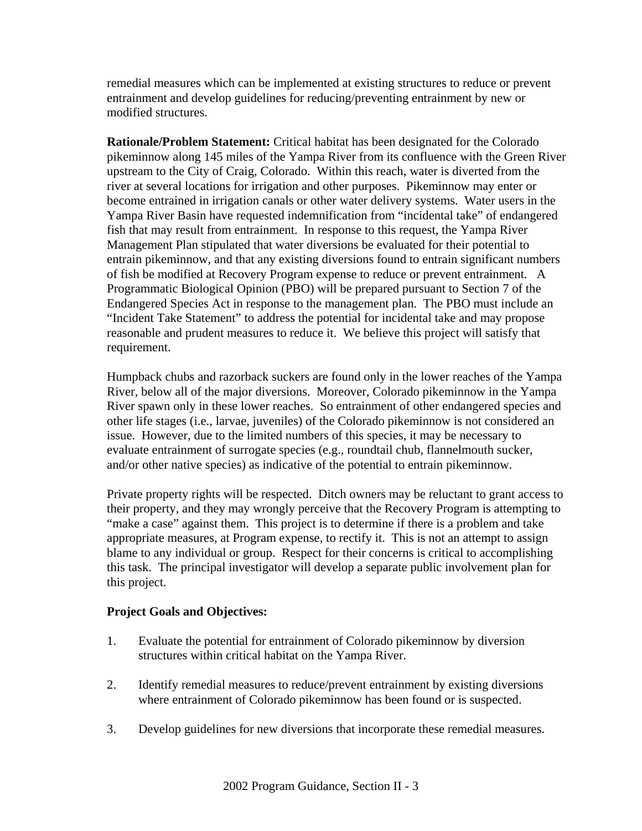remedial measures which can be implemented at existing structures to reduce or prevent entrainment and develop guidelines for reducing/preventing entrainment by new or modified structures.

**Rationale/Problem Statement:** Critical habitat has been designated for the Colorado pikeminnow along 145 miles of the Yampa River from its confluence with the Green River upstream to the City of Craig, Colorado. Within this reach, water is diverted from the river at several locations for irrigation and other purposes. Pikeminnow may enter or become entrained in irrigation canals or other water delivery systems. Water users in the Yampa River Basin have requested indemnification from "incidental take" of endangered fish that may result from entrainment. In response to this request, the Yampa River Management Plan stipulated that water diversions be evaluated for their potential to entrain pikeminnow, and that any existing diversions found to entrain significant numbers of fish be modified at Recovery Program expense to reduce or prevent entrainment. A Programmatic Biological Opinion (PBO) will be prepared pursuant to Section 7 of the Endangered Species Act in response to the management plan. The PBO must include an "Incident Take Statement" to address the potential for incidental take and may propose reasonable and prudent measures to reduce it. We believe this project will satisfy that requirement.

Humpback chubs and razorback suckers are found only in the lower reaches of the Yampa River, below all of the major diversions. Moreover, Colorado pikeminnow in the Yampa River spawn only in these lower reaches. So entrainment of other endangered species and other life stages (i.e., larvae, juveniles) of the Colorado pikeminnow is not considered an issue. However, due to the limited numbers of this species, it may be necessary to evaluate entrainment of surrogate species (e.g., roundtail chub, flannelmouth sucker, and/or other native species) as indicative of the potential to entrain pikeminnow.

Private property rights will be respected. Ditch owners may be reluctant to grant access to their property, and they may wrongly perceive that the Recovery Program is attempting to "make a case" against them. This project is to determine if there is a problem and take appropriate measures, at Program expense, to rectify it. This is not an attempt to assign blame to any individual or group. Respect for their concerns is critical to accomplishing this task. The principal investigator will develop a separate public involvement plan for this project.

## **Project Goals and Objectives:**

- 1. Evaluate the potential for entrainment of Colorado pikeminnow by diversion structures within critical habitat on the Yampa River.
- 2. Identify remedial measures to reduce/prevent entrainment by existing diversions where entrainment of Colorado pikeminnow has been found or is suspected.
- 3. Develop guidelines for new diversions that incorporate these remedial measures.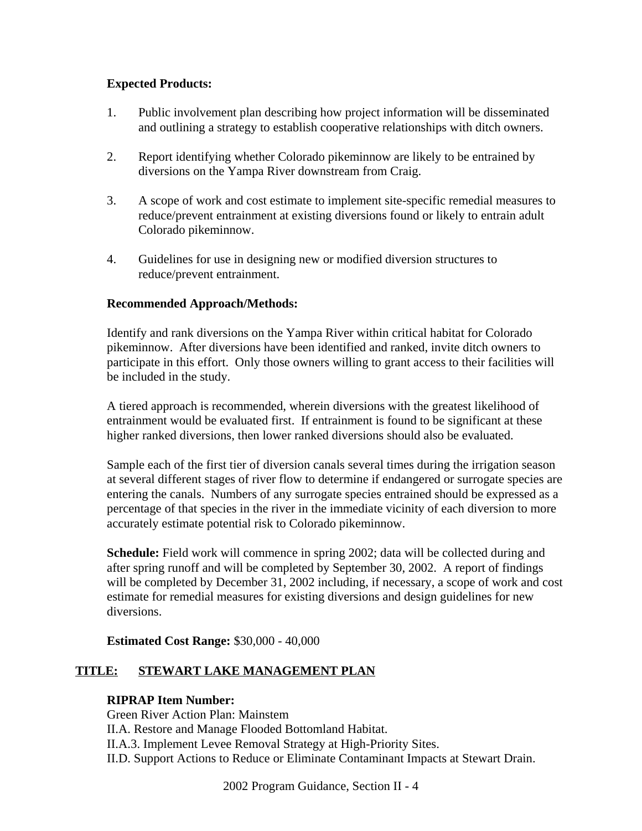## **Expected Products:**

- 1. Public involvement plan describing how project information will be disseminated and outlining a strategy to establish cooperative relationships with ditch owners.
- 2. Report identifying whether Colorado pikeminnow are likely to be entrained by diversions on the Yampa River downstream from Craig.
- 3. A scope of work and cost estimate to implement site-specific remedial measures to reduce/prevent entrainment at existing diversions found or likely to entrain adult Colorado pikeminnow.
- 4. Guidelines for use in designing new or modified diversion structures to reduce/prevent entrainment.

## **Recommended Approach/Methods:**

Identify and rank diversions on the Yampa River within critical habitat for Colorado pikeminnow. After diversions have been identified and ranked, invite ditch owners to participate in this effort. Only those owners willing to grant access to their facilities will be included in the study.

A tiered approach is recommended, wherein diversions with the greatest likelihood of entrainment would be evaluated first. If entrainment is found to be significant at these higher ranked diversions, then lower ranked diversions should also be evaluated.

Sample each of the first tier of diversion canals several times during the irrigation season at several different stages of river flow to determine if endangered or surrogate species are entering the canals. Numbers of any surrogate species entrained should be expressed as a percentage of that species in the river in the immediate vicinity of each diversion to more accurately estimate potential risk to Colorado pikeminnow.

**Schedule:** Field work will commence in spring 2002; data will be collected during and after spring runoff and will be completed by September 30, 2002. A report of findings will be completed by December 31, 2002 including, if necessary, a scope of work and cost estimate for remedial measures for existing diversions and design guidelines for new diversions.

**Estimated Cost Range:** \$30,000 - 40,000

# **TITLE: STEWART LAKE MANAGEMENT PLAN**

## **RIPRAP Item Number:**

Green River Action Plan: Mainstem II.A. Restore and Manage Flooded Bottomland Habitat. II.A.3. Implement Levee Removal Strategy at High-Priority Sites. II.D. Support Actions to Reduce or Eliminate Contaminant Impacts at Stewart Drain.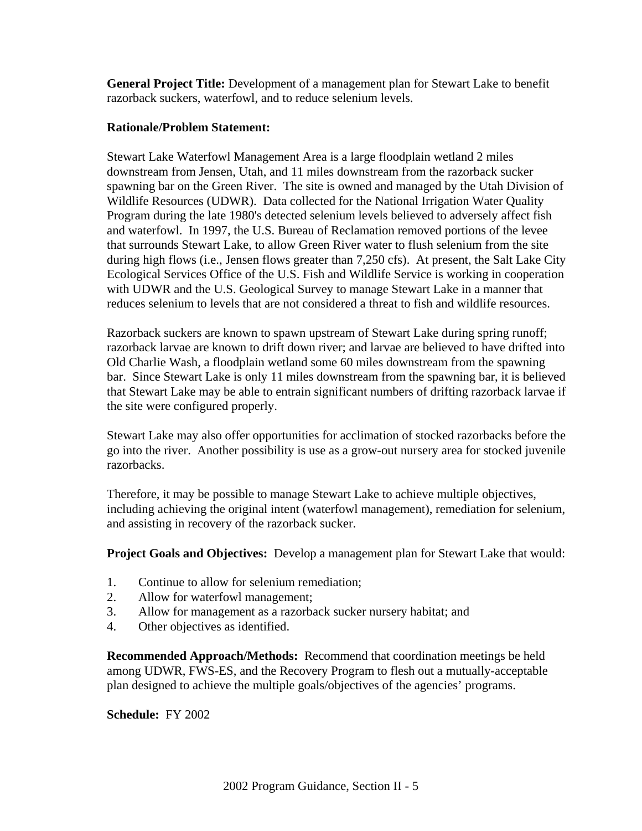**General Project Title:** Development of a management plan for Stewart Lake to benefit razorback suckers, waterfowl, and to reduce selenium levels.

#### **Rationale/Problem Statement:**

Stewart Lake Waterfowl Management Area is a large floodplain wetland 2 miles downstream from Jensen, Utah, and 11 miles downstream from the razorback sucker spawning bar on the Green River. The site is owned and managed by the Utah Division of Wildlife Resources (UDWR). Data collected for the National Irrigation Water Quality Program during the late 1980's detected selenium levels believed to adversely affect fish and waterfowl. In 1997, the U.S. Bureau of Reclamation removed portions of the levee that surrounds Stewart Lake, to allow Green River water to flush selenium from the site during high flows (i.e., Jensen flows greater than 7,250 cfs). At present, the Salt Lake City Ecological Services Office of the U.S. Fish and Wildlife Service is working in cooperation with UDWR and the U.S. Geological Survey to manage Stewart Lake in a manner that reduces selenium to levels that are not considered a threat to fish and wildlife resources.

Razorback suckers are known to spawn upstream of Stewart Lake during spring runoff; razorback larvae are known to drift down river; and larvae are believed to have drifted into Old Charlie Wash, a floodplain wetland some 60 miles downstream from the spawning bar. Since Stewart Lake is only 11 miles downstream from the spawning bar, it is believed that Stewart Lake may be able to entrain significant numbers of drifting razorback larvae if the site were configured properly.

Stewart Lake may also offer opportunities for acclimation of stocked razorbacks before the go into the river. Another possibility is use as a grow-out nursery area for stocked juvenile razorbacks.

Therefore, it may be possible to manage Stewart Lake to achieve multiple objectives, including achieving the original intent (waterfowl management), remediation for selenium, and assisting in recovery of the razorback sucker.

**Project Goals and Objectives:** Develop a management plan for Stewart Lake that would:

- 1. Continue to allow for selenium remediation;
- 2. Allow for waterfowl management;
- 3. Allow for management as a razorback sucker nursery habitat; and
- 4. Other objectives as identified.

**Recommended Approach/Methods:** Recommend that coordination meetings be held among UDWR, FWS-ES, and the Recovery Program to flesh out a mutually-acceptable plan designed to achieve the multiple goals/objectives of the agencies' programs.

**Schedule:** FY 2002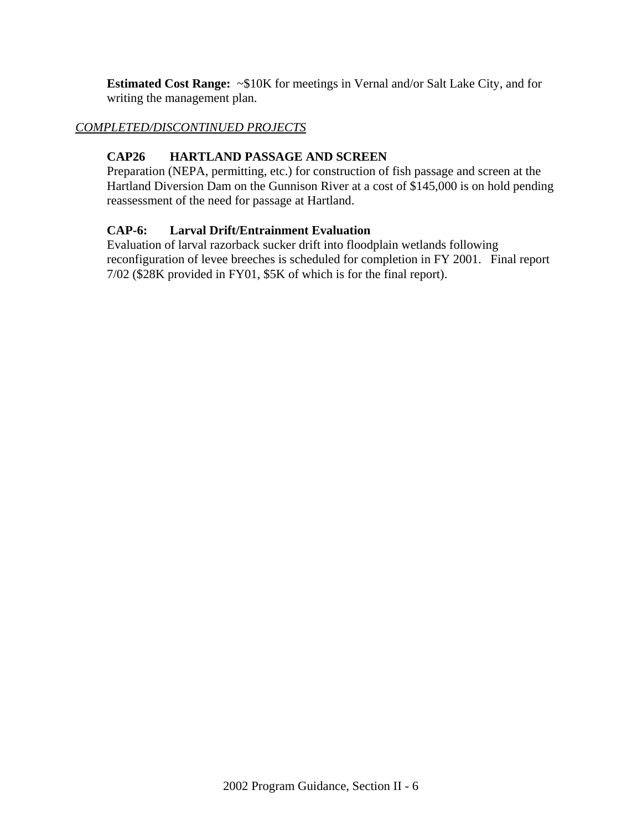**Estimated Cost Range:** ~\$10K for meetings in Vernal and/or Salt Lake City, and for writing the management plan.

## *COMPLETED/DISCONTINUED PROJECTS*

# **CAP26 HARTLAND PASSAGE AND SCREEN**

Preparation (NEPA, permitting, etc.) for construction of fish passage and screen at the Hartland Diversion Dam on the Gunnison River at a cost of \$145,000 is on hold pending reassessment of the need for passage at Hartland.

## **CAP-6: Larval Drift/Entrainment Evaluation**

Evaluation of larval razorback sucker drift into floodplain wetlands following reconfiguration of levee breeches is scheduled for completion in FY 2001. Final report 7/02 (\$28K provided in FY01, \$5K of which is for the final report).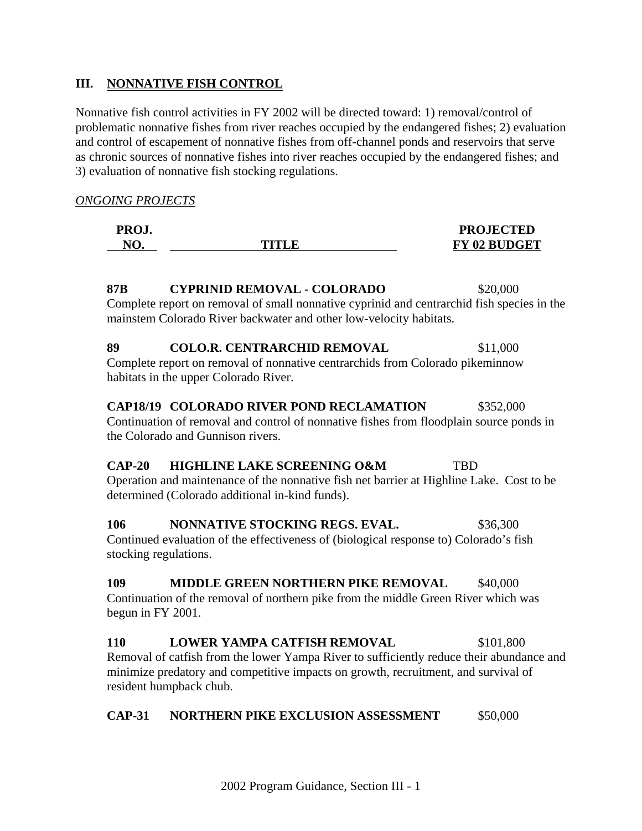## **III. NONNATIVE FISH CONTROL**

Nonnative fish control activities in FY 2002 will be directed toward: 1) removal/control of problematic nonnative fishes from river reaches occupied by the endangered fishes; 2) evaluation and control of escapement of nonnative fishes from off-channel ponds and reservoirs that serve as chronic sources of nonnative fishes into river reaches occupied by the endangered fishes; and 3) evaluation of nonnative fish stocking regulations.

#### *ONGOING PROJECTS*

| PROJ. |             | <b>PROJECTED</b>    |
|-------|-------------|---------------------|
| NO.   | TITLE<br>we | <b>FY 02 BUDGET</b> |

# **87B CYPRINID REMOVAL - COLORADO** \$20,000

Complete report on removal of small nonnative cyprinid and centrarchid fish species in the mainstem Colorado River backwater and other low-velocity habitats.

#### **89 COLO.R. CENTRARCHID REMOVAL** \$11,000

Complete report on removal of nonnative centrarchids from Colorado pikeminnow habitats in the upper Colorado River.

#### **CAP18/19 COLORADO RIVER POND RECLAMATION** \$352,000

Continuation of removal and control of nonnative fishes from floodplain source ponds in the Colorado and Gunnison rivers.

#### **CAP-20 HIGHLINE LAKE SCREENING O&M** TBD

Operation and maintenance of the nonnative fish net barrier at Highline Lake. Cost to be determined (Colorado additional in-kind funds).

## **106 NONNATIVE STOCKING REGS. EVAL.** \$36,300 Continued evaluation of the effectiveness of (biological response to) Colorado's fish

stocking regulations.

## **109 MIDDLE GREEN NORTHERN PIKE REMOVAL \$40,000**

Continuation of the removal of northern pike from the middle Green River which was begun in FY 2001.

## **110 LOWER YAMPA CATFISH REMOVAL** \$101,800

Removal of catfish from the lower Yampa River to sufficiently reduce their abundance and minimize predatory and competitive impacts on growth, recruitment, and survival of resident humpback chub.

#### **CAP-31 NORTHERN PIKE EXCLUSION ASSESSMENT** \$50,000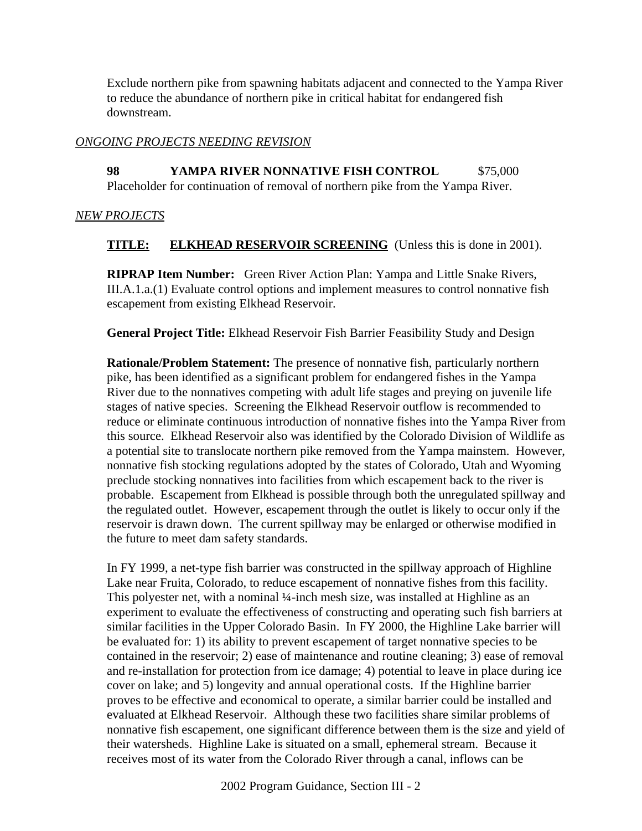Exclude northern pike from spawning habitats adjacent and connected to the Yampa River to reduce the abundance of northern pike in critical habitat for endangered fish downstream.

## *ONGOING PROJECTS NEEDING REVISION*

**98 YAMPA RIVER NONNATIVE FISH CONTROL** \$75,000 Placeholder for continuation of removal of northern pike from the Yampa River.

## *NEW PROJECTS*

## **TITLE: ELKHEAD RESERVOIR SCREENING** (Unless this is done in 2001).

**RIPRAP Item Number:** Green River Action Plan: Yampa and Little Snake Rivers, III.A.1.a.(1) Evaluate control options and implement measures to control nonnative fish escapement from existing Elkhead Reservoir.

**General Project Title:** Elkhead Reservoir Fish Barrier Feasibility Study and Design

**Rationale/Problem Statement:** The presence of nonnative fish, particularly northern pike, has been identified as a significant problem for endangered fishes in the Yampa River due to the nonnatives competing with adult life stages and preying on juvenile life stages of native species. Screening the Elkhead Reservoir outflow is recommended to reduce or eliminate continuous introduction of nonnative fishes into the Yampa River from this source. Elkhead Reservoir also was identified by the Colorado Division of Wildlife as a potential site to translocate northern pike removed from the Yampa mainstem. However, nonnative fish stocking regulations adopted by the states of Colorado, Utah and Wyoming preclude stocking nonnatives into facilities from which escapement back to the river is probable. Escapement from Elkhead is possible through both the unregulated spillway and the regulated outlet. However, escapement through the outlet is likely to occur only if the reservoir is drawn down. The current spillway may be enlarged or otherwise modified in the future to meet dam safety standards.

In FY 1999, a net-type fish barrier was constructed in the spillway approach of Highline Lake near Fruita, Colorado, to reduce escapement of nonnative fishes from this facility. This polyester net, with a nominal ¼-inch mesh size, was installed at Highline as an experiment to evaluate the effectiveness of constructing and operating such fish barriers at similar facilities in the Upper Colorado Basin. In FY 2000, the Highline Lake barrier will be evaluated for: 1) its ability to prevent escapement of target nonnative species to be contained in the reservoir; 2) ease of maintenance and routine cleaning; 3) ease of removal and re-installation for protection from ice damage; 4) potential to leave in place during ice cover on lake; and 5) longevity and annual operational costs. If the Highline barrier proves to be effective and economical to operate, a similar barrier could be installed and evaluated at Elkhead Reservoir. Although these two facilities share similar problems of nonnative fish escapement, one significant difference between them is the size and yield of their watersheds. Highline Lake is situated on a small, ephemeral stream. Because it receives most of its water from the Colorado River through a canal, inflows can be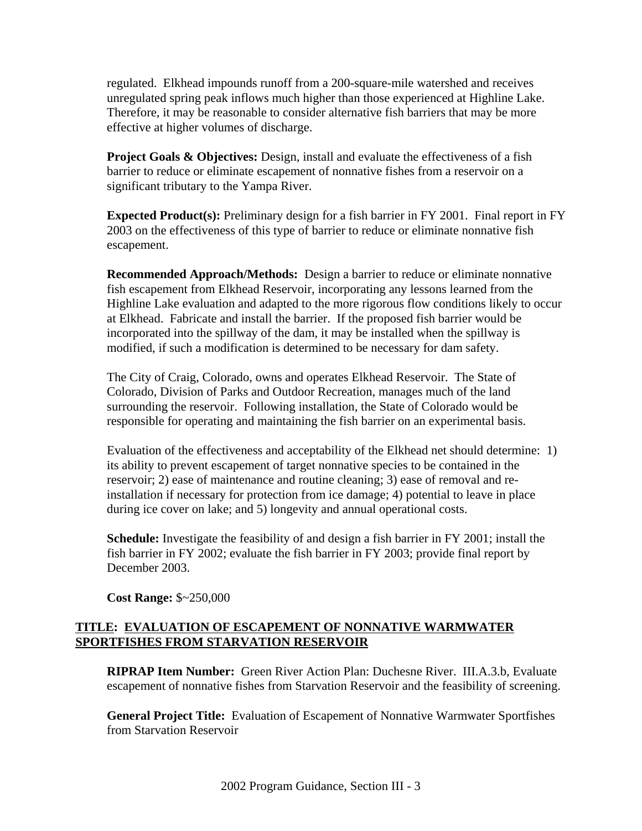regulated. Elkhead impounds runoff from a 200-square-mile watershed and receives unregulated spring peak inflows much higher than those experienced at Highline Lake. Therefore, it may be reasonable to consider alternative fish barriers that may be more effective at higher volumes of discharge.

**Project Goals & Objectives:** Design, install and evaluate the effectiveness of a fish barrier to reduce or eliminate escapement of nonnative fishes from a reservoir on a significant tributary to the Yampa River.

**Expected Product(s):** Preliminary design for a fish barrier in FY 2001. Final report in FY 2003 on the effectiveness of this type of barrier to reduce or eliminate nonnative fish escapement.

**Recommended Approach/Methods:** Design a barrier to reduce or eliminate nonnative fish escapement from Elkhead Reservoir, incorporating any lessons learned from the Highline Lake evaluation and adapted to the more rigorous flow conditions likely to occur at Elkhead. Fabricate and install the barrier. If the proposed fish barrier would be incorporated into the spillway of the dam, it may be installed when the spillway is modified, if such a modification is determined to be necessary for dam safety.

The City of Craig, Colorado, owns and operates Elkhead Reservoir. The State of Colorado, Division of Parks and Outdoor Recreation, manages much of the land surrounding the reservoir. Following installation, the State of Colorado would be responsible for operating and maintaining the fish barrier on an experimental basis.

Evaluation of the effectiveness and acceptability of the Elkhead net should determine: 1) its ability to prevent escapement of target nonnative species to be contained in the reservoir; 2) ease of maintenance and routine cleaning; 3) ease of removal and reinstallation if necessary for protection from ice damage; 4) potential to leave in place during ice cover on lake; and 5) longevity and annual operational costs.

**Schedule:** Investigate the feasibility of and design a fish barrier in FY 2001; install the fish barrier in FY 2002; evaluate the fish barrier in FY 2003; provide final report by December 2003.

**Cost Range:** \$~250,000

## **TITLE: EVALUATION OF ESCAPEMENT OF NONNATIVE WARMWATER SPORTFISHES FROM STARVATION RESERVOIR**

**RIPRAP Item Number:** Green River Action Plan: Duchesne River. III.A.3.b, Evaluate escapement of nonnative fishes from Starvation Reservoir and the feasibility of screening.

**General Project Title:** Evaluation of Escapement of Nonnative Warmwater Sportfishes from Starvation Reservoir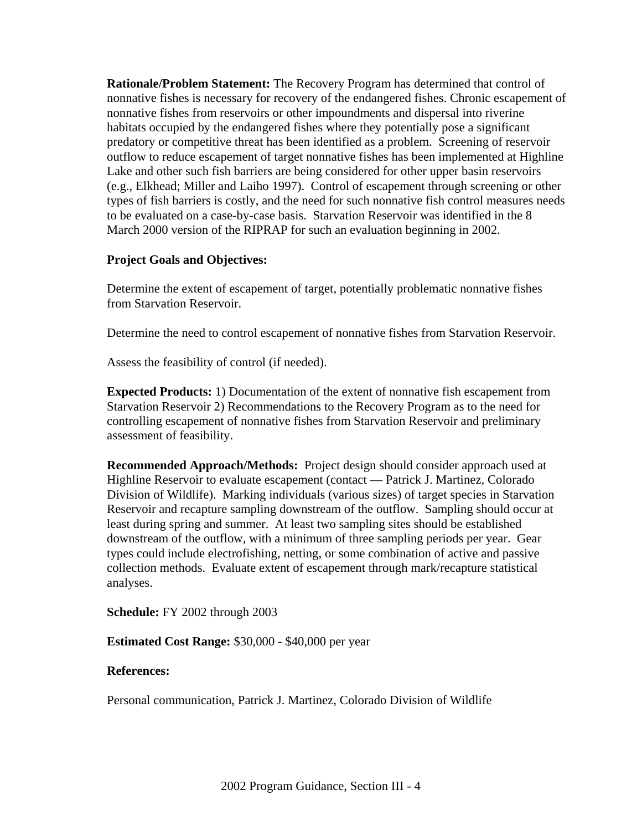**Rationale/Problem Statement:** The Recovery Program has determined that control of nonnative fishes is necessary for recovery of the endangered fishes. Chronic escapement of nonnative fishes from reservoirs or other impoundments and dispersal into riverine habitats occupied by the endangered fishes where they potentially pose a significant predatory or competitive threat has been identified as a problem. Screening of reservoir outflow to reduce escapement of target nonnative fishes has been implemented at Highline Lake and other such fish barriers are being considered for other upper basin reservoirs (e.g., Elkhead; Miller and Laiho 1997). Control of escapement through screening or other types of fish barriers is costly, and the need for such nonnative fish control measures needs to be evaluated on a case-by-case basis. Starvation Reservoir was identified in the 8 March 2000 version of the RIPRAP for such an evaluation beginning in 2002.

#### **Project Goals and Objectives:**

Determine the extent of escapement of target, potentially problematic nonnative fishes from Starvation Reservoir.

Determine the need to control escapement of nonnative fishes from Starvation Reservoir.

Assess the feasibility of control (if needed).

**Expected Products:** 1) Documentation of the extent of nonnative fish escapement from Starvation Reservoir 2) Recommendations to the Recovery Program as to the need for controlling escapement of nonnative fishes from Starvation Reservoir and preliminary assessment of feasibility.

**Recommended Approach/Methods:** Project design should consider approach used at Highline Reservoir to evaluate escapement (contact — Patrick J. Martinez, Colorado Division of Wildlife). Marking individuals (various sizes) of target species in Starvation Reservoir and recapture sampling downstream of the outflow. Sampling should occur at least during spring and summer. At least two sampling sites should be established downstream of the outflow, with a minimum of three sampling periods per year. Gear types could include electrofishing, netting, or some combination of active and passive collection methods. Evaluate extent of escapement through mark/recapture statistical analyses.

**Schedule:** FY 2002 through 2003

**Estimated Cost Range:** \$30,000 - \$40,000 per year

#### **References:**

Personal communication, Patrick J. Martinez, Colorado Division of Wildlife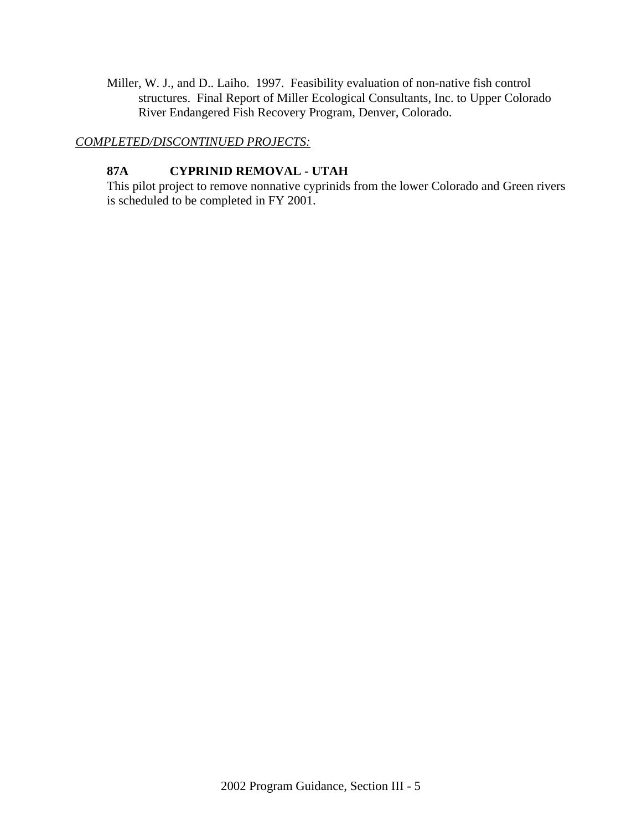Miller, W. J., and D.. Laiho. 1997. Feasibility evaluation of non-native fish control structures. Final Report of Miller Ecological Consultants, Inc. to Upper Colorado River Endangered Fish Recovery Program, Denver, Colorado.

#### *COMPLETED/DISCONTINUED PROJECTS:*

## **87A CYPRINID REMOVAL - UTAH**

This pilot project to remove nonnative cyprinids from the lower Colorado and Green rivers is scheduled to be completed in FY 2001.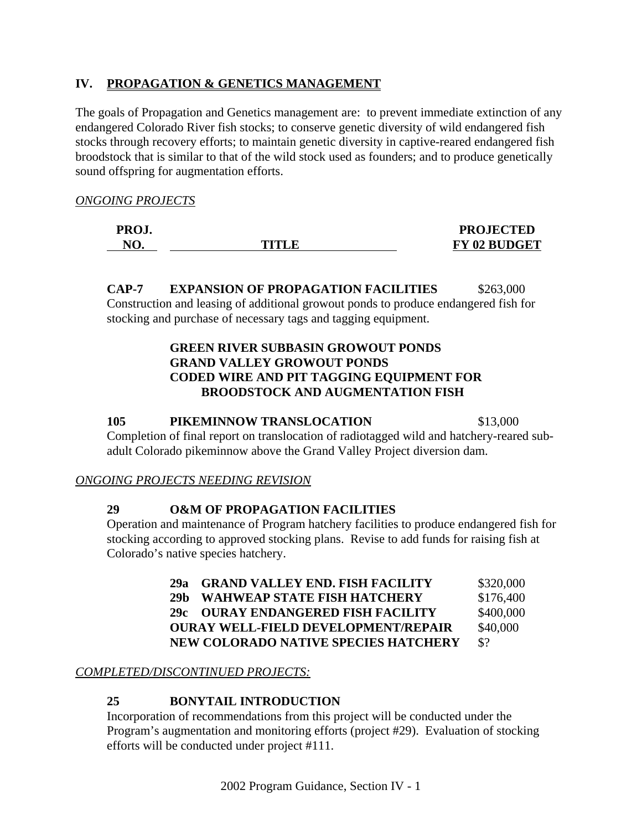## **IV. PROPAGATION & GENETICS MANAGEMENT**

The goals of Propagation and Genetics management are: to prevent immediate extinction of any endangered Colorado River fish stocks; to conserve genetic diversity of wild endangered fish stocks through recovery efforts; to maintain genetic diversity in captive-reared endangered fish broodstock that is similar to that of the wild stock used as founders; and to produce genetically sound offspring for augmentation efforts.

*ONGOING PROJECTS*

| PROJ.     |        | <b>PROJECTED</b>    |
|-----------|--------|---------------------|
| $N\Gamma$ | TITI R | <b>FY 02 BUDGET</b> |

**CAP-7 EXPANSION OF PROPAGATION FACILITIES** \$263,000 Construction and leasing of additional growout ponds to produce endangered fish for stocking and purchase of necessary tags and tagging equipment.

## **GREEN RIVER SUBBASIN GROWOUT PONDS GRAND VALLEY GROWOUT PONDS CODED WIRE AND PIT TAGGING EQUIPMENT FOR BROODSTOCK AND AUGMENTATION FISH**

#### **105 PIKEMINNOW TRANSLOCATION** \$13,000

Completion of final report on translocation of radiotagged wild and hatchery-reared subadult Colorado pikeminnow above the Grand Valley Project diversion dam.

#### *ONGOING PROJECTS NEEDING REVISION*

## **29 O&M OF PROPAGATION FACILITIES**

Operation and maintenance of Program hatchery facilities to produce endangered fish for stocking according to approved stocking plans. Revise to add funds for raising fish at Colorado's native species hatchery.

| 29а | <b>GRAND VALLEY END. FISH FACILITY</b>     | \$320,000       |
|-----|--------------------------------------------|-----------------|
| 29h | <b>WAHWEAP STATE FISH HATCHERY</b>         | \$176,400       |
|     | 29c OURAY ENDANGERED FISH FACILITY         | \$400,000       |
|     | <b>OURAY WELL-FIELD DEVELOPMENT/REPAIR</b> | \$40,000        |
|     | NEW COLORADO NATIVE SPECIES HATCHERY       | $\mathcal{S}^2$ |

## *COMPLETED/DISCONTINUED PROJECTS:*

## **25 BONYTAIL INTRODUCTION**

Incorporation of recommendations from this project will be conducted under the Program's augmentation and monitoring efforts (project #29). Evaluation of stocking efforts will be conducted under project #111.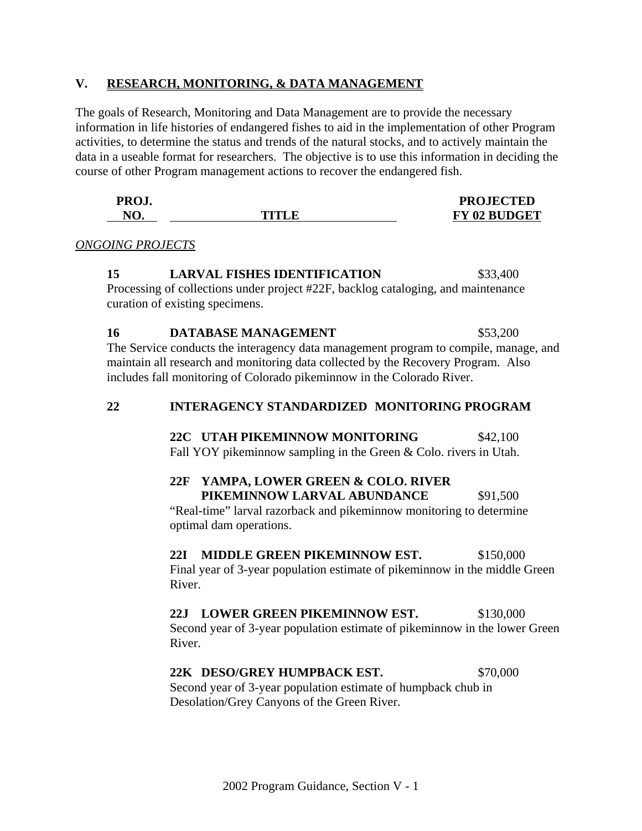#### **V. RESEARCH, MONITORING, & DATA MANAGEMENT**

The goals of Research, Monitoring and Data Management are to provide the necessary information in life histories of endangered fishes to aid in the implementation of other Program activities, to determine the status and trends of the natural stocks, and to actively maintain the data in a useable format for researchers. The objective is to use this information in deciding the course of other Program management actions to recover the endangered fish.

| PROJ.     |        | <b>PROJECTED</b>    |
|-----------|--------|---------------------|
| $N\Gamma$ | TITI F | <b>FY 02 BUDGET</b> |

*ONGOING PROJECTS*

#### **15 LARVAL FISHES IDENTIFICATION** \$33,400

Processing of collections under project #22F, backlog cataloging, and maintenance curation of existing specimens.

# **16 DATABASE MANAGEMENT** \$53,200

The Service conducts the interagency data management program to compile, manage, and maintain all research and monitoring data collected by the Recovery Program. Also includes fall monitoring of Colorado pikeminnow in the Colorado River.

#### **22 INTERAGENCY STANDARDIZED MONITORING PROGRAM**

 **22C UTAH PIKEMINNOW MONITORING** \$42,100 Fall YOY pikeminnow sampling in the Green & Colo. rivers in Utah.

# **22F YAMPA, LOWER GREEN & COLO. RIVER PIKEMINNOW LARVAL ABUNDANCE** \$91,500

"Real-time" larval razorback and pikeminnow monitoring to determine optimal dam operations.

## **22I MIDDLE GREEN PIKEMINNOW EST.** \$150,000

Final year of 3-year population estimate of pikeminnow in the middle Green River.

## **22J LOWER GREEN PIKEMINNOW EST.** \$130,000

Second year of 3-year population estimate of pikeminnow in the lower Green River.

#### **22K DESO/GREY HUMPBACK EST.** \$70,000

Second year of 3-year population estimate of humpback chub in Desolation/Grey Canyons of the Green River.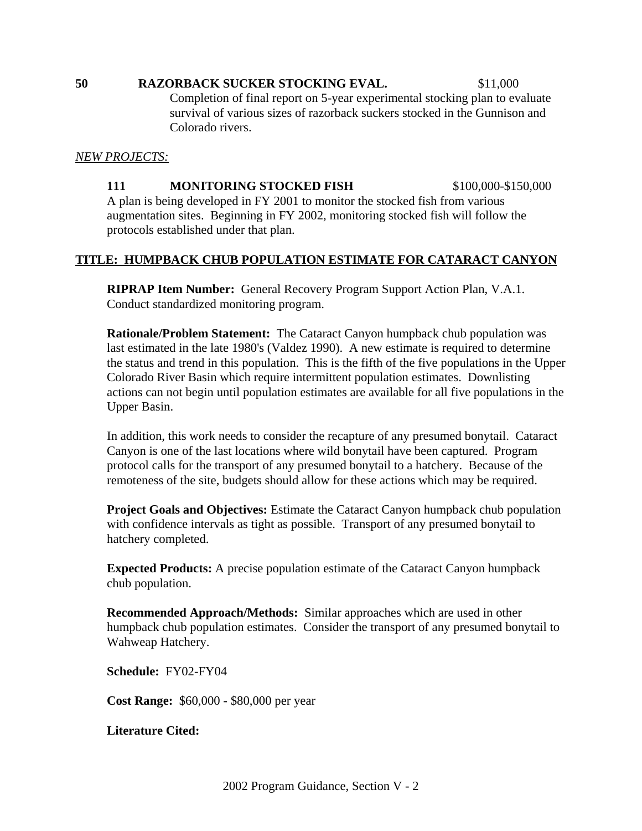#### **50 RAZORBACK SUCKER STOCKING EVAL.** \$11,000

Completion of final report on 5-year experimental stocking plan to evaluate survival of various sizes of razorback suckers stocked in the Gunnison and Colorado rivers.

#### *NEW PROJECTS:*

**111 MONITORING STOCKED FISH \$100,000-\$150,000** A plan is being developed in FY 2001 to monitor the stocked fish from various augmentation sites. Beginning in FY 2002, monitoring stocked fish will follow the protocols established under that plan.

## **TITLE: HUMPBACK CHUB POPULATION ESTIMATE FOR CATARACT CANYON**

**RIPRAP Item Number:** General Recovery Program Support Action Plan, V.A.1. Conduct standardized monitoring program.

**Rationale/Problem Statement:** The Cataract Canyon humpback chub population was last estimated in the late 1980's (Valdez 1990). A new estimate is required to determine the status and trend in this population. This is the fifth of the five populations in the Upper Colorado River Basin which require intermittent population estimates. Downlisting actions can not begin until population estimates are available for all five populations in the Upper Basin.

In addition, this work needs to consider the recapture of any presumed bonytail. Cataract Canyon is one of the last locations where wild bonytail have been captured. Program protocol calls for the transport of any presumed bonytail to a hatchery. Because of the remoteness of the site, budgets should allow for these actions which may be required.

**Project Goals and Objectives:** Estimate the Cataract Canyon humpback chub population with confidence intervals as tight as possible. Transport of any presumed bonytail to hatchery completed.

**Expected Products:** A precise population estimate of the Cataract Canyon humpback chub population.

**Recommended Approach/Methods:** Similar approaches which are used in other humpback chub population estimates. Consider the transport of any presumed bonytail to Wahweap Hatchery.

**Schedule:** FY02-FY04

**Cost Range:** \$60,000 - \$80,000 per year

**Literature Cited:**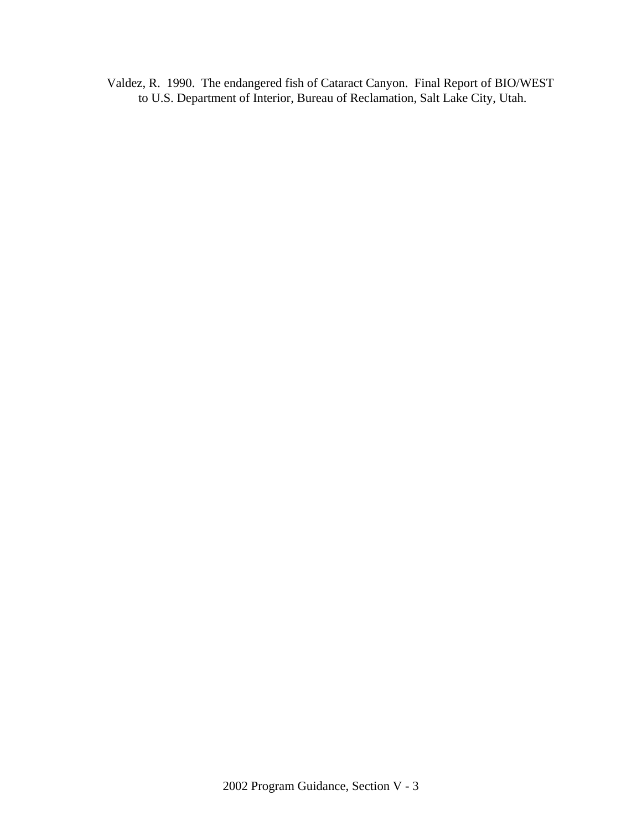Valdez, R. 1990. The endangered fish of Cataract Canyon. Final Report of BIO/WEST to U.S. Department of Interior, Bureau of Reclamation, Salt Lake City, Utah.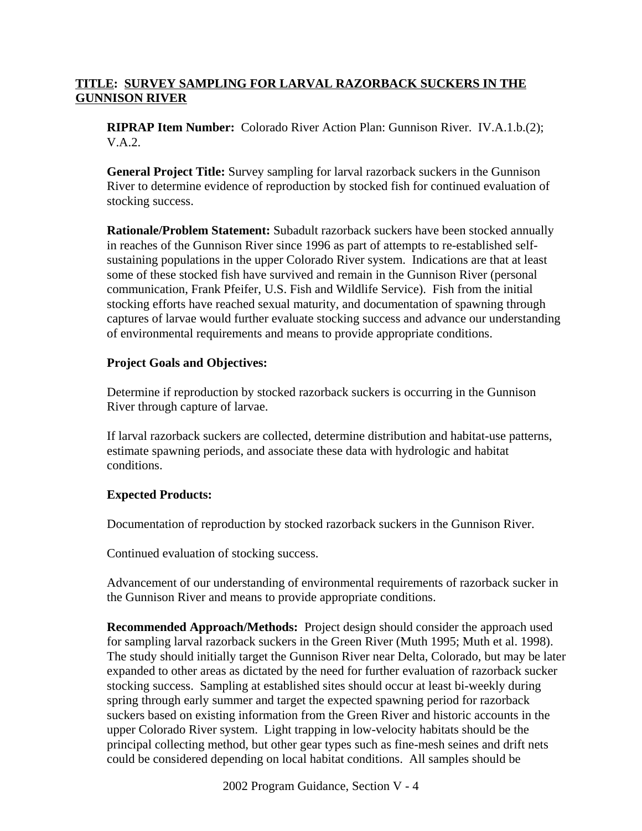## **TITLE: SURVEY SAMPLING FOR LARVAL RAZORBACK SUCKERS IN THE GUNNISON RIVER**

**RIPRAP Item Number:** Colorado River Action Plan: Gunnison River. IV.A.1.b.(2); V.A.2.

**General Project Title:** Survey sampling for larval razorback suckers in the Gunnison River to determine evidence of reproduction by stocked fish for continued evaluation of stocking success.

**Rationale/Problem Statement:** Subadult razorback suckers have been stocked annually in reaches of the Gunnison River since 1996 as part of attempts to re-established selfsustaining populations in the upper Colorado River system. Indications are that at least some of these stocked fish have survived and remain in the Gunnison River (personal communication, Frank Pfeifer, U.S. Fish and Wildlife Service). Fish from the initial stocking efforts have reached sexual maturity, and documentation of spawning through captures of larvae would further evaluate stocking success and advance our understanding of environmental requirements and means to provide appropriate conditions.

## **Project Goals and Objectives:**

Determine if reproduction by stocked razorback suckers is occurring in the Gunnison River through capture of larvae.

If larval razorback suckers are collected, determine distribution and habitat-use patterns, estimate spawning periods, and associate these data with hydrologic and habitat conditions.

## **Expected Products:**

Documentation of reproduction by stocked razorback suckers in the Gunnison River.

Continued evaluation of stocking success.

Advancement of our understanding of environmental requirements of razorback sucker in the Gunnison River and means to provide appropriate conditions.

**Recommended Approach/Methods:** Project design should consider the approach used for sampling larval razorback suckers in the Green River (Muth 1995; Muth et al. 1998). The study should initially target the Gunnison River near Delta, Colorado, but may be later expanded to other areas as dictated by the need for further evaluation of razorback sucker stocking success. Sampling at established sites should occur at least bi-weekly during spring through early summer and target the expected spawning period for razorback suckers based on existing information from the Green River and historic accounts in the upper Colorado River system. Light trapping in low-velocity habitats should be the principal collecting method, but other gear types such as fine-mesh seines and drift nets could be considered depending on local habitat conditions. All samples should be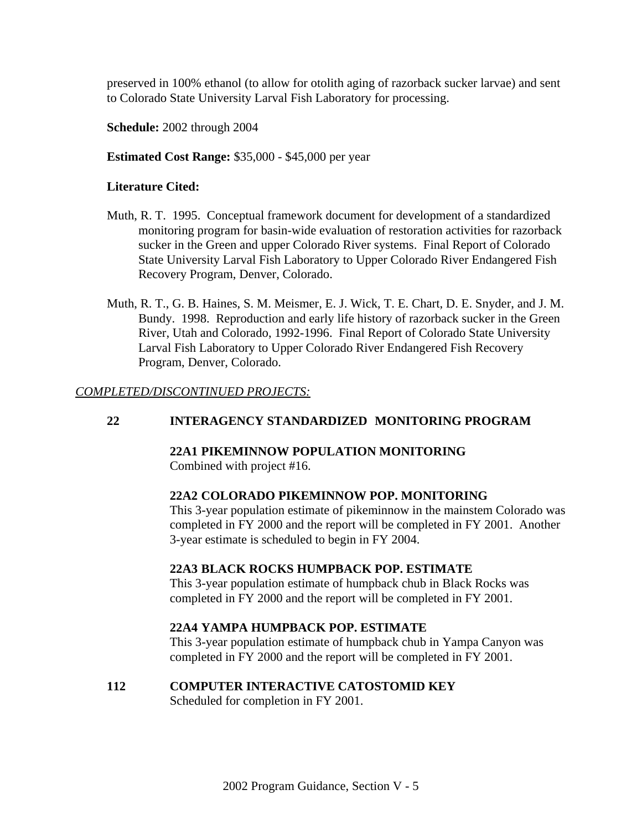preserved in 100% ethanol (to allow for otolith aging of razorback sucker larvae) and sent to Colorado State University Larval Fish Laboratory for processing.

**Schedule:** 2002 through 2004

#### **Estimated Cost Range:** \$35,000 - \$45,000 per year

#### **Literature Cited:**

- Muth, R. T. 1995. Conceptual framework document for development of a standardized monitoring program for basin-wide evaluation of restoration activities for razorback sucker in the Green and upper Colorado River systems. Final Report of Colorado State University Larval Fish Laboratory to Upper Colorado River Endangered Fish Recovery Program, Denver, Colorado.
- Muth, R. T., G. B. Haines, S. M. Meismer, E. J. Wick, T. E. Chart, D. E. Snyder, and J. M. Bundy. 1998. Reproduction and early life history of razorback sucker in the Green River, Utah and Colorado, 1992-1996. Final Report of Colorado State University Larval Fish Laboratory to Upper Colorado River Endangered Fish Recovery Program, Denver, Colorado.

#### *COMPLETED/DISCONTINUED PROJECTS:*

## **22 INTERAGENCY STANDARDIZED MONITORING PROGRAM**

#### **22A1 PIKEMINNOW POPULATION MONITORING**

Combined with project #16.

## **22A2 COLORADO PIKEMINNOW POP. MONITORING**

This 3-year population estimate of pikeminnow in the mainstem Colorado was completed in FY 2000 and the report will be completed in FY 2001. Another 3-year estimate is scheduled to begin in FY 2004.

#### **22A3 BLACK ROCKS HUMPBACK POP. ESTIMATE**

This 3-year population estimate of humpback chub in Black Rocks was completed in FY 2000 and the report will be completed in FY 2001.

## **22A4 YAMPA HUMPBACK POP. ESTIMATE**

This 3-year population estimate of humpback chub in Yampa Canyon was completed in FY 2000 and the report will be completed in FY 2001.

#### **112 COMPUTER INTERACTIVE CATOSTOMID KEY**

Scheduled for completion in FY 2001.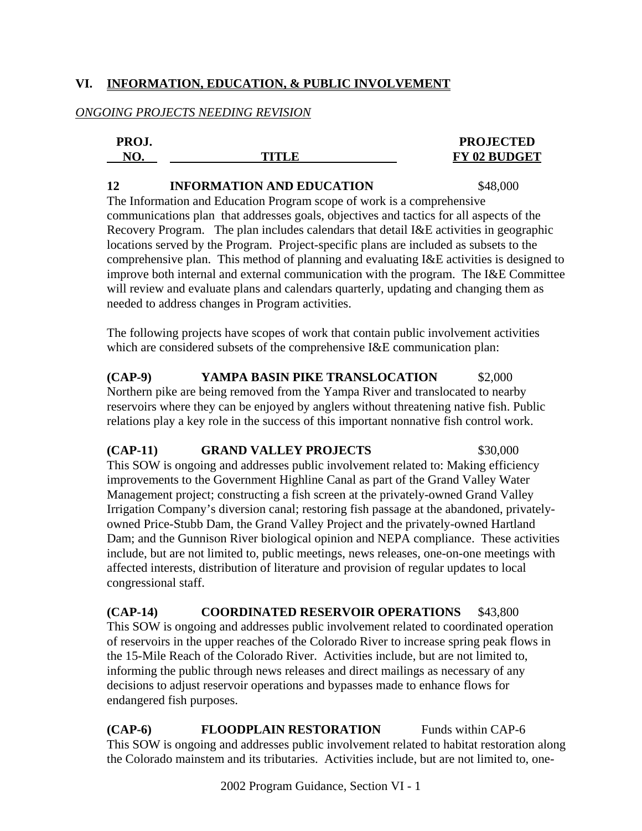## **VI. INFORMATION, EDUCATION, & PUBLIC INVOLVEMENT**

## *ONGOING PROJECTS NEEDING REVISION*

| PROJ.          |       | <b>PROJECTED</b>    |
|----------------|-------|---------------------|
| N <sub>C</sub> | TITLE | <b>FY 02 BUDGET</b> |
|                |       |                     |

#### **12 INFORMATION AND EDUCATION** \$48,000

The Information and Education Program scope of work is a comprehensive communications plan that addresses goals, objectives and tactics for all aspects of the Recovery Program. The plan includes calendars that detail I&E activities in geographic locations served by the Program. Project-specific plans are included as subsets to the comprehensive plan. This method of planning and evaluating I&E activities is designed to improve both internal and external communication with the program. The I&E Committee will review and evaluate plans and calendars quarterly, updating and changing them as needed to address changes in Program activities.

The following projects have scopes of work that contain public involvement activities which are considered subsets of the comprehensive I&E communication plan:

**(CAP-9) YAMPA BASIN PIKE TRANSLOCATION** \$2,000 Northern pike are being removed from the Yampa River and translocated to nearby reservoirs where they can be enjoyed by anglers without threatening native fish. Public relations play a key role in the success of this important nonnative fish control work.

## **(CAP-11) GRAND VALLEY PROJECTS** \$30,000

This SOW is ongoing and addresses public involvement related to: Making efficiency improvements to the Government Highline Canal as part of the Grand Valley Water Management project; constructing a fish screen at the privately-owned Grand Valley Irrigation Company's diversion canal; restoring fish passage at the abandoned, privatelyowned Price-Stubb Dam, the Grand Valley Project and the privately-owned Hartland Dam; and the Gunnison River biological opinion and NEPA compliance. These activities include, but are not limited to, public meetings, news releases, one-on-one meetings with affected interests, distribution of literature and provision of regular updates to local congressional staff.

**(CAP-14) COORDINATED RESERVOIR OPERATIONS** \$43,800 This SOW is ongoing and addresses public involvement related to coordinated operation of reservoirs in the upper reaches of the Colorado River to increase spring peak flows in the 15-Mile Reach of the Colorado River. Activities include, but are not limited to, informing the public through news releases and direct mailings as necessary of any decisions to adjust reservoir operations and bypasses made to enhance flows for endangered fish purposes.

**(CAP-6) FLOODPLAIN RESTORATION** Funds within CAP-6 This SOW is ongoing and addresses public involvement related to habitat restoration along the Colorado mainstem and its tributaries. Activities include, but are not limited to, one-

2002 Program Guidance, Section VI - 1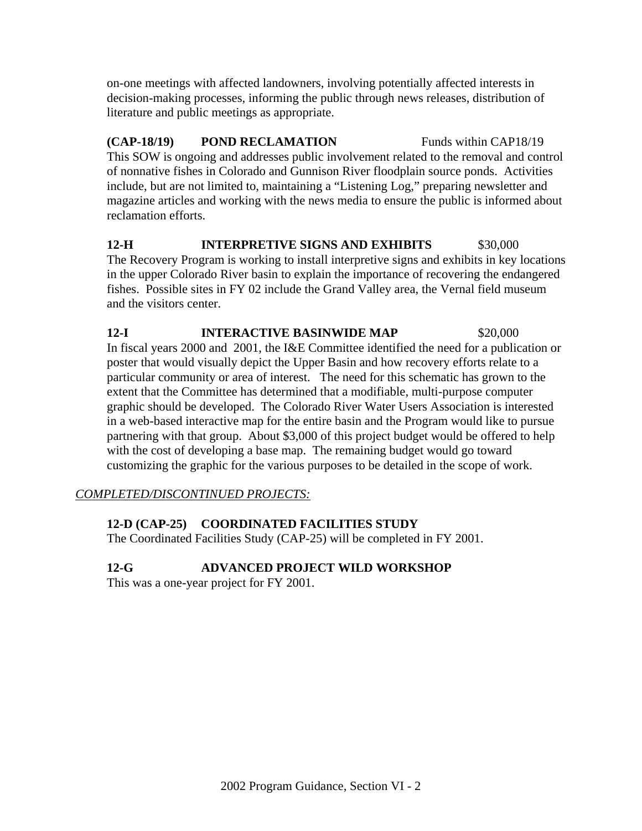on-one meetings with affected landowners, involving potentially affected interests in decision-making processes, informing the public through news releases, distribution of literature and public meetings as appropriate.

**(CAP-18/19) POND RECLAMATION** Funds within CAP18/19 This SOW is ongoing and addresses public involvement related to the removal and control of nonnative fishes in Colorado and Gunnison River floodplain source ponds. Activities include, but are not limited to, maintaining a "Listening Log," preparing newsletter and magazine articles and working with the news media to ensure the public is informed about reclamation efforts.

**12-H INTERPRETIVE SIGNS AND EXHIBITS** \$30,000 The Recovery Program is working to install interpretive signs and exhibits in key locations in the upper Colorado River basin to explain the importance of recovering the endangered fishes. Possible sites in FY 02 include the Grand Valley area, the Vernal field museum and the visitors center.

#### **12-I INTERACTIVE BASINWIDE MAP** \$20,000 In fiscal years 2000 and 2001, the I&E Committee identified the need for a publication or poster that would visually depict the Upper Basin and how recovery efforts relate to a particular community or area of interest. The need for this schematic has grown to the extent that the Committee has determined that a modifiable, multi-purpose computer graphic should be developed. The Colorado River Water Users Association is interested in a web-based interactive map for the entire basin and the Program would like to pursue partnering with that group. About \$3,000 of this project budget would be offered to help with the cost of developing a base map. The remaining budget would go toward customizing the graphic for the various purposes to be detailed in the scope of work.

# *COMPLETED/DISCONTINUED PROJECTS:*

# **12-D (CAP-25) COORDINATED FACILITIES STUDY**

The Coordinated Facilities Study (CAP-25) will be completed in FY 2001.

# **12-G ADVANCED PROJECT WILD WORKSHOP**

This was a one-year project for FY 2001.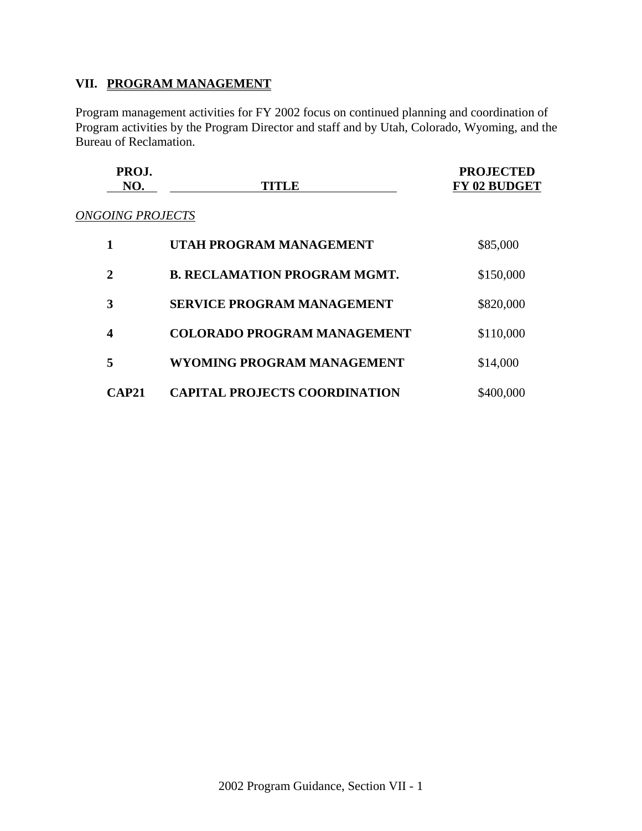# **VII. PROGRAM MANAGEMENT**

Program management activities for FY 2002 focus on continued planning and coordination of Program activities by the Program Director and staff and by Utah, Colorado, Wyoming, and the Bureau of Reclamation.

| PROJ.          |       | <b>PROJECTED</b>    |
|----------------|-------|---------------------|
| N <sub>O</sub> | TITLE | <b>FY 02 BUDGET</b> |
|                |       |                     |

# *ONGOING PROJECTS*

| 1                | UTAH PROGRAM MANAGEMENT              | \$85,000  |
|------------------|--------------------------------------|-----------|
| $\mathbf{2}$     | <b>B. RECLAMATION PROGRAM MGMT.</b>  | \$150,000 |
| 3                | <b>SERVICE PROGRAM MANAGEMENT</b>    | \$820,000 |
| $\boldsymbol{4}$ | <b>COLORADO PROGRAM MANAGEMENT</b>   | \$110,000 |
| 5                | WYOMING PROGRAM MANAGEMENT           | \$14,000  |
| <b>CAP21</b>     | <b>CAPITAL PROJECTS COORDINATION</b> | \$400,000 |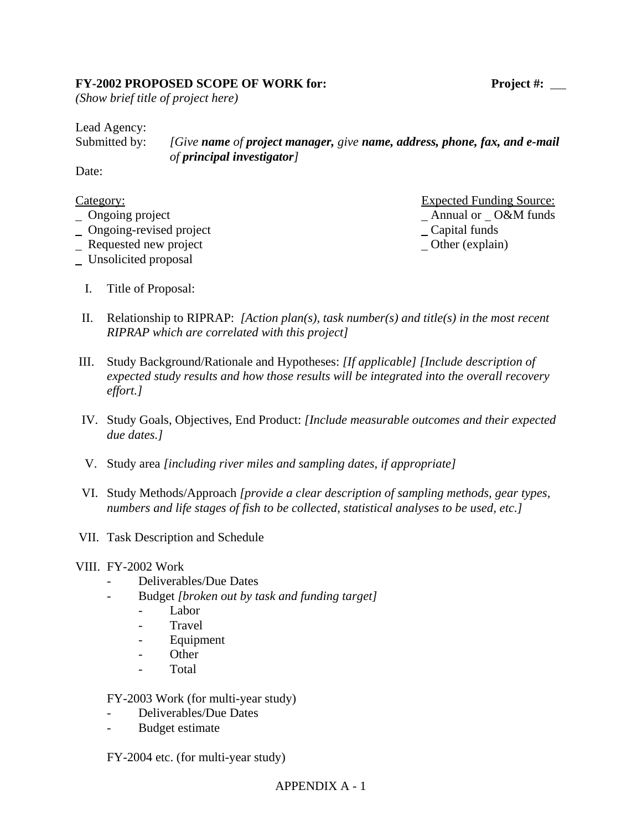#### FY-2002 PROPOSED SCOPE OF WORK for: Project #: \_\_

*(Show brief title of project here)*

Lead Agency:

Submitted by: *[Give name of project manager, give name, address, phone, fax, and e-mail of principal investigator]*

Date:

| Category:                      | <b>Expected Funding Source:</b> |  |
|--------------------------------|---------------------------------|--|
| $\Box$ Ongoing project         | Annual or O&M funds             |  |
| $\Box$ Ongoing-revised project | $\angle$ Capital funds          |  |
|                                |                                 |  |

- Requested new project Channel Channel Channel Channel Channel Channel Channel Channel Channel Channel Channel Channel Channel Channel Channel Channel Channel Channel Channel Channel Channel Channel Channel Channel Channel
- Unsolicited proposal
	- I. Title of Proposal:

 $A$ nnual or  $O&M$  funds  $\overline{\phantom{a}}$  Capital funds

- II. Relationship to RIPRAP: *[Action plan(s), task number(s) and title(s) in the most recent RIPRAP which are correlated with this project]*
- III. Study Background/Rationale and Hypotheses: *[If applicable] [Include description of expected study results and how those results will be integrated into the overall recovery effort.]*
- IV. Study Goals, Objectives, End Product: *[Include measurable outcomes and their expected due dates.]*
- V. Study area *[including river miles and sampling dates, if appropriate]*
- VI. Study Methods/Approach *[provide a clear description of sampling methods, gear types, numbers and life stages of fish to be collected, statistical analyses to be used, etc.]*
- VII. Task Description and Schedule

#### VIII. FY-2002 Work

- Deliverables/Due Dates
- Budget *[broken out by task and funding target]*
	- Labor
	- **Travel**
	- **Equipment**
	- Other
	- Total

FY-2003 Work (for multi-year study)

- Deliverables/Due Dates
- Budget estimate

FY-2004 etc. (for multi-year study)